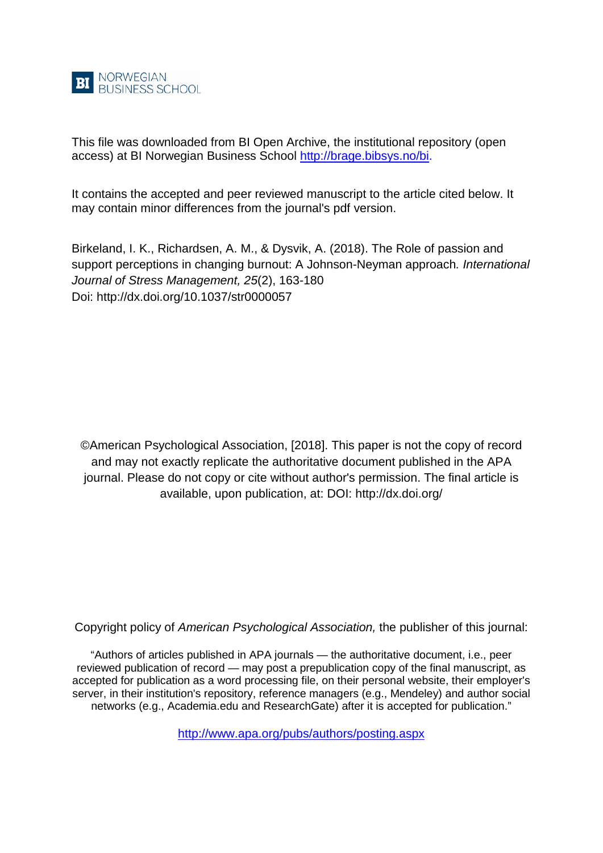

This file was downloaded from BI Open Archive, the institutional repository (open access) at BI Norwegian Business School [http://brage.bibsys.no/bi.](http://brage.bibsys.no/bi)

It contains the accepted and peer reviewed manuscript to the article cited below. It may contain minor differences from the journal's pdf version.

Birkeland, I. K., Richardsen, A. M., & Dysvik, A. (2018). The Role of passion and support perceptions in changing burnout: A Johnson-Neyman approach*. International Journal of Stress Management, 25*(2), 163-180 Doi: http://dx.doi.org[/10.1037/str0000057](http://dx.doi.org.ezproxy.library.bi.no/10.1037/str0000057)

©American Psychological Association, [2018]. This paper is not the copy of record and may not exactly replicate the authoritative document published in the APA journal. Please do not copy or cite without author's permission. The final article is available, upon publication, at: DOI: http://dx.doi.org/

Copyright policy of *American Psychological Association,* the publisher of this journal:

"Authors of articles published in APA journals — the authoritative document, i.e., peer reviewed publication of record — may post a prepublication copy of the final manuscript, as accepted for publication as a word processing file, on their personal website, their employer's server, in their institution's repository, reference managers (e.g., Mendeley) and author social networks (e.g., Academia.edu and ResearchGate) after it is accepted for publication."

<http://www.apa.org/pubs/authors/posting.aspx>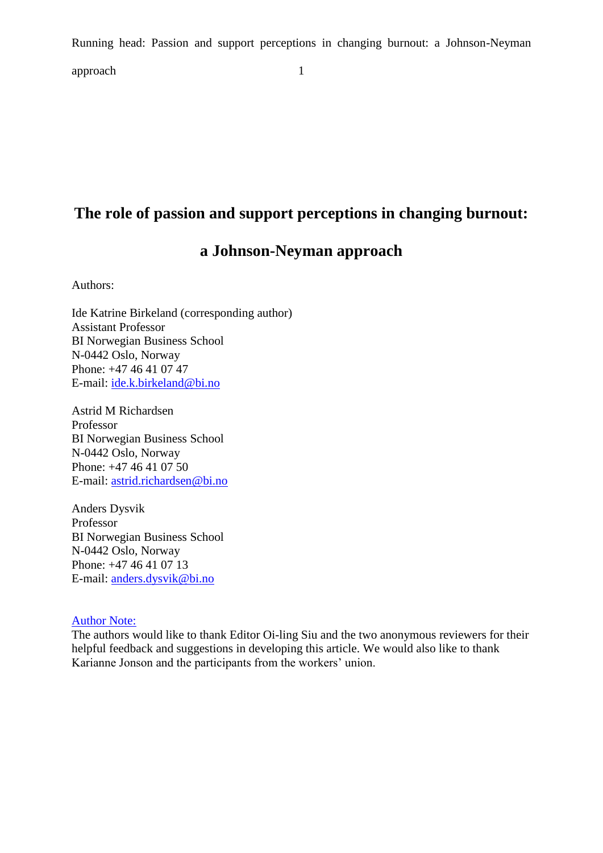Running head: Passion and support perceptions in changing burnout: a Johnson-Neyman approach 1

# **The role of passion and support perceptions in changing burnout:**

# **a Johnson-Neyman approach**

Authors:

Ide Katrine Birkeland (corresponding author) Assistant Professor BI Norwegian Business School N-0442 Oslo, Norway Phone: +47 46 41 07 47 E-mail: [ide.k.birkeland@bi.no](mailto:ide.k.birkeland@bi.no)

Astrid M Richardsen Professor BI Norwegian Business School N-0442 Oslo, Norway Phone: +47 46 41 07 50 E-mail: [astrid.richardsen@bi.no](mailto:astrid.richardsen@bi.no)

Anders Dysvik Professor BI Norwegian Business School N-0442 Oslo, Norway Phone: +47 46 41 07 13 E-mail: [anders.dysvik@bi.no](mailto:anders.dysvik@bi.no)

# Author Note:

The authors would like to thank Editor Oi-ling Siu and the two anonymous reviewers for their helpful feedback and suggestions in developing this article. We would also like to thank Karianne Jonson and the participants from the workers' union.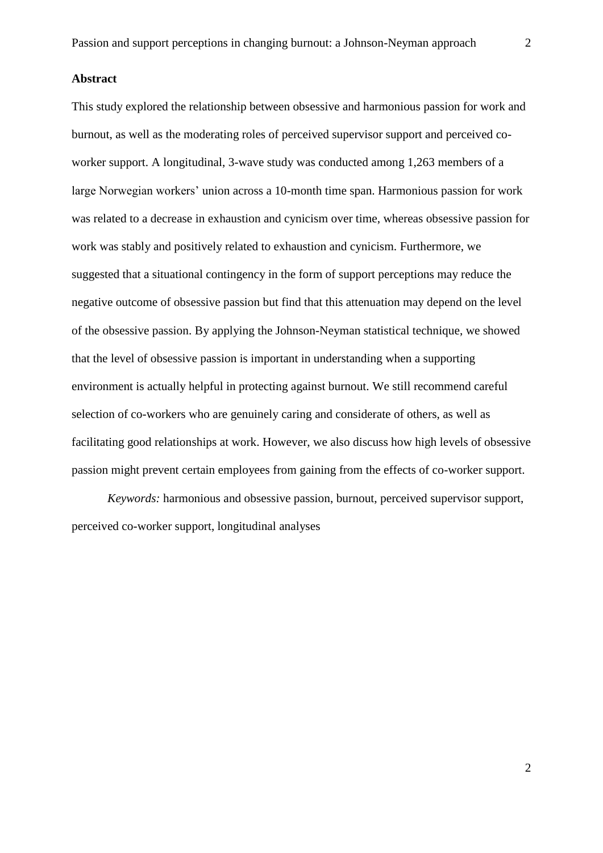#### **Abstract**

This study explored the relationship between obsessive and harmonious passion for work and burnout, as well as the moderating roles of perceived supervisor support and perceived coworker support. A longitudinal, 3-wave study was conducted among 1,263 members of a large Norwegian workers' union across a 10-month time span. Harmonious passion for work was related to a decrease in exhaustion and cynicism over time, whereas obsessive passion for work was stably and positively related to exhaustion and cynicism. Furthermore, we suggested that a situational contingency in the form of support perceptions may reduce the negative outcome of obsessive passion but find that this attenuation may depend on the level of the obsessive passion. By applying the Johnson-Neyman statistical technique, we showed that the level of obsessive passion is important in understanding when a supporting environment is actually helpful in protecting against burnout. We still recommend careful selection of co-workers who are genuinely caring and considerate of others, as well as facilitating good relationships at work. However, we also discuss how high levels of obsessive passion might prevent certain employees from gaining from the effects of co-worker support.

*Keywords:* harmonious and obsessive passion, burnout, perceived supervisor support, perceived co-worker support, longitudinal analyses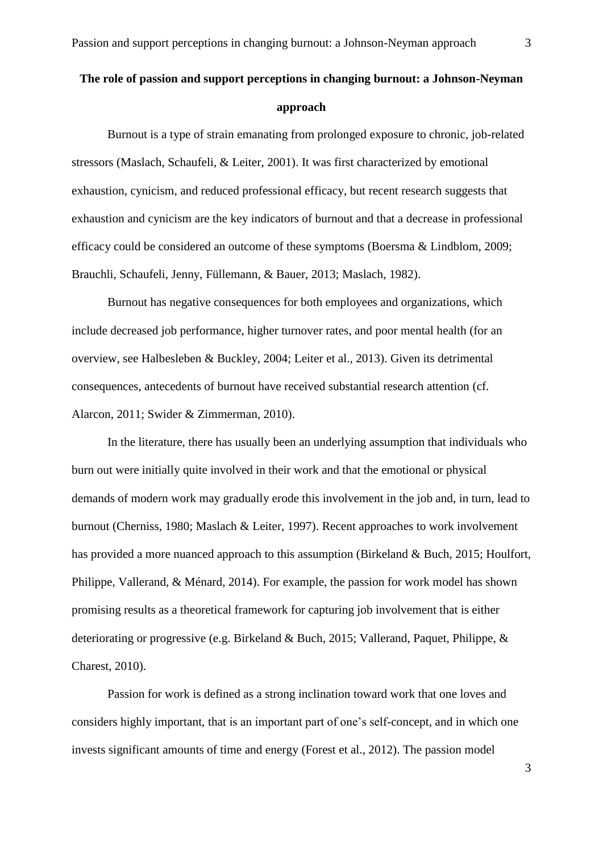# **The role of passion and support perceptions in changing burnout: a Johnson-Neyman approach**

Burnout is a type of strain emanating from prolonged exposure to chronic, job-related stressors (Maslach, Schaufeli, & Leiter, 2001). It was first characterized by emotional exhaustion, cynicism, and reduced professional efficacy, but recent research suggests that exhaustion and cynicism are the key indicators of burnout and that a decrease in professional efficacy could be considered an outcome of these symptoms (Boersma & Lindblom, 2009; Brauchli, Schaufeli, Jenny, Füllemann, & Bauer, 2013; Maslach, 1982).

Burnout has negative consequences for both employees and organizations, which include decreased job performance, higher turnover rates, and poor mental health (for an overview, see Halbesleben & Buckley, 2004; Leiter et al., 2013). Given its detrimental consequences, antecedents of burnout have received substantial research attention (cf. Alarcon, 2011; Swider & Zimmerman, 2010).

In the literature, there has usually been an underlying assumption that individuals who burn out were initially quite involved in their work and that the emotional or physical demands of modern work may gradually erode this involvement in the job and, in turn, lead to burnout (Cherniss, 1980; Maslach & Leiter, 1997). Recent approaches to work involvement has provided a more nuanced approach to this assumption (Birkeland & Buch, 2015; Houlfort, Philippe, Vallerand, & Ménard, 2014). For example, the passion for work model has shown promising results as a theoretical framework for capturing job involvement that is either deteriorating or progressive (e.g. Birkeland & Buch, 2015; Vallerand, Paquet, Philippe, & Charest, 2010).

Passion for work is defined as a strong inclination toward work that one loves and considers highly important, that is an important part of one's self-concept, and in which one invests significant amounts of time and energy (Forest et al., 2012). The passion model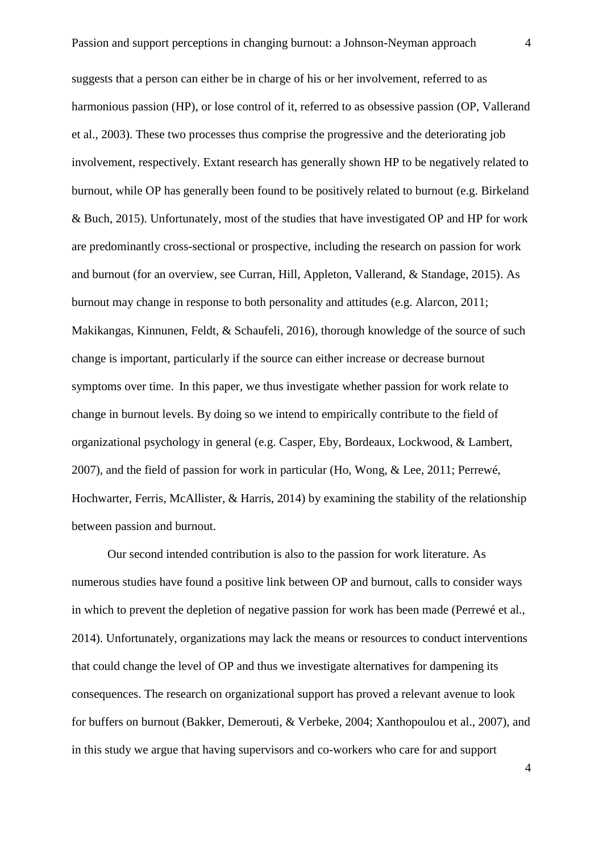suggests that a person can either be in charge of his or her involvement, referred to as harmonious passion (HP), or lose control of it, referred to as obsessive passion (OP, Vallerand et al., 2003). These two processes thus comprise the progressive and the deteriorating job involvement, respectively. Extant research has generally shown HP to be negatively related to burnout, while OP has generally been found to be positively related to burnout (e.g. Birkeland & Buch, 2015). Unfortunately, most of the studies that have investigated OP and HP for work are predominantly cross-sectional or prospective, including the research on passion for work and burnout (for an overview, see Curran, Hill, Appleton, Vallerand, & Standage, 2015). As burnout may change in response to both personality and attitudes (e.g. Alarcon, 2011; Makikangas, Kinnunen, Feldt, & Schaufeli, 2016), thorough knowledge of the source of such change is important, particularly if the source can either increase or decrease burnout symptoms over time. In this paper, we thus investigate whether passion for work relate to change in burnout levels. By doing so we intend to empirically contribute to the field of organizational psychology in general (e.g. Casper, Eby, Bordeaux, Lockwood, & Lambert, 2007), and the field of passion for work in particular (Ho, Wong, & Lee, 2011; Perrewé, Hochwarter, Ferris, McAllister, & Harris, 2014) by examining the stability of the relationship between passion and burnout.

Our second intended contribution is also to the passion for work literature. As numerous studies have found a positive link between OP and burnout, calls to consider ways in which to prevent the depletion of negative passion for work has been made (Perrewé et al., 2014). Unfortunately, organizations may lack the means or resources to conduct interventions that could change the level of OP and thus we investigate alternatives for dampening its consequences. The research on organizational support has proved a relevant avenue to look for buffers on burnout (Bakker, Demerouti, & Verbeke, 2004; Xanthopoulou et al., 2007), and in this study we argue that having supervisors and co-workers who care for and support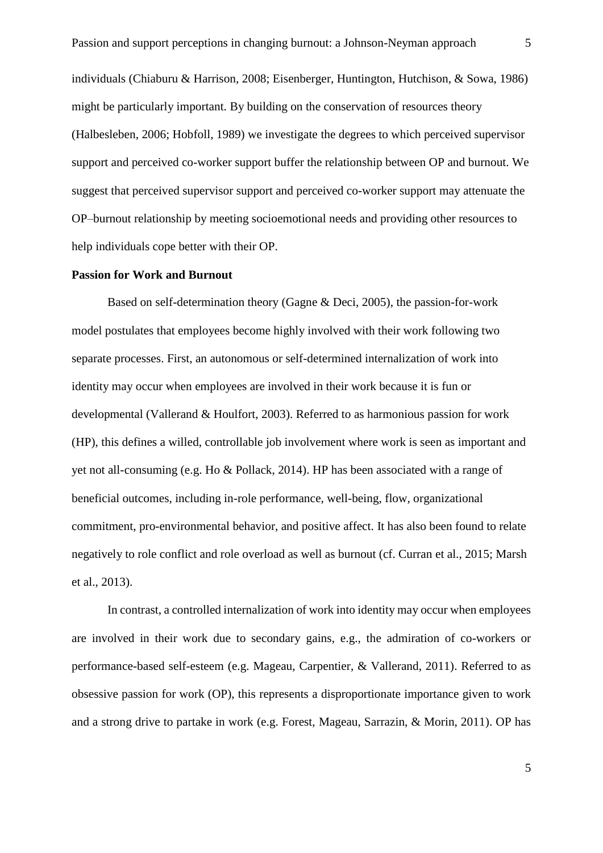individuals (Chiaburu & Harrison, 2008; Eisenberger, Huntington, Hutchison, & Sowa, 1986) might be particularly important. By building on the conservation of resources theory (Halbesleben, 2006; Hobfoll, 1989) we investigate the degrees to which perceived supervisor support and perceived co-worker support buffer the relationship between OP and burnout. We suggest that perceived supervisor support and perceived co-worker support may attenuate the OP–burnout relationship by meeting socioemotional needs and providing other resources to help individuals cope better with their OP.

## **Passion for Work and Burnout**

Based on self-determination theory (Gagne & Deci, 2005), the passion-for-work model postulates that employees become highly involved with their work following two separate processes. First, an autonomous or self-determined internalization of work into identity may occur when employees are involved in their work because it is fun or developmental (Vallerand & Houlfort, 2003). Referred to as harmonious passion for work (HP), this defines a willed, controllable job involvement where work is seen as important and yet not all-consuming (e.g. Ho & Pollack, 2014). HP has been associated with a range of beneficial outcomes, including in-role performance, well-being, flow, organizational commitment, pro-environmental behavior, and positive affect. It has also been found to relate negatively to role conflict and role overload as well as burnout (cf. Curran et al., 2015; Marsh et al., 2013).

In contrast, a controlled internalization of work into identity may occur when employees are involved in their work due to secondary gains, e.g., the admiration of co-workers or performance-based self-esteem (e.g. Mageau, Carpentier, & Vallerand, 2011). Referred to as obsessive passion for work (OP), this represents a disproportionate importance given to work and a strong drive to partake in work (e.g. Forest, Mageau, Sarrazin, & Morin, 2011). OP has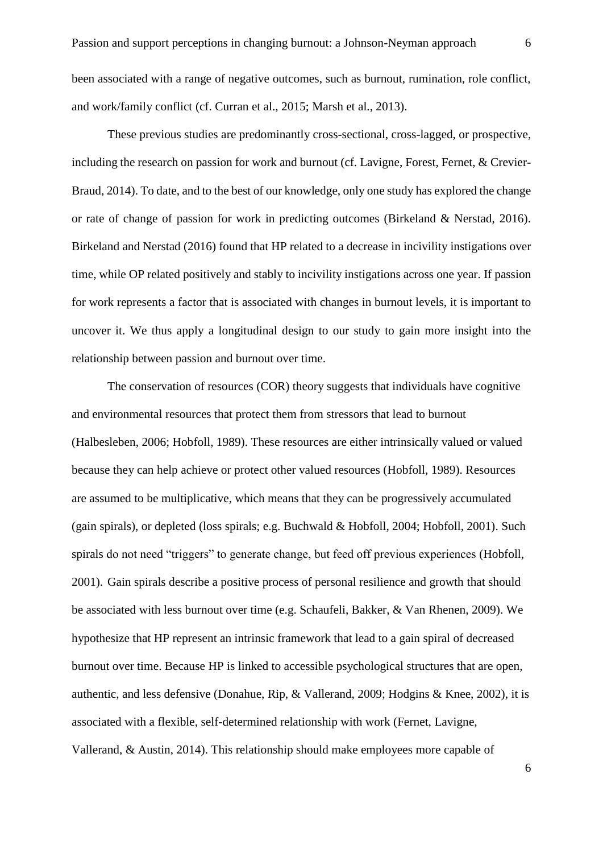been associated with a range of negative outcomes, such as burnout, rumination, role conflict, and work/family conflict (cf. Curran et al., 2015; Marsh et al., 2013).

These previous studies are predominantly cross-sectional, cross-lagged, or prospective, including the research on passion for work and burnout (cf. Lavigne, Forest, Fernet, & Crevier-Braud, 2014). To date, and to the best of our knowledge, only one study has explored the change or rate of change of passion for work in predicting outcomes (Birkeland & Nerstad, 2016). Birkeland and Nerstad (2016) found that HP related to a decrease in incivility instigations over time, while OP related positively and stably to incivility instigations across one year. If passion for work represents a factor that is associated with changes in burnout levels, it is important to uncover it. We thus apply a longitudinal design to our study to gain more insight into the relationship between passion and burnout over time.

The conservation of resources (COR) theory suggests that individuals have cognitive and environmental resources that protect them from stressors that lead to burnout (Halbesleben, 2006; Hobfoll, 1989). These resources are either intrinsically valued or valued because they can help achieve or protect other valued resources (Hobfoll, 1989). Resources are assumed to be multiplicative, which means that they can be progressively accumulated (gain spirals), or depleted (loss spirals; e.g. Buchwald & Hobfoll, 2004; Hobfoll, 2001). Such spirals do not need "triggers" to generate change, but feed off previous experiences (Hobfoll, 2001). Gain spirals describe a positive process of personal resilience and growth that should be associated with less burnout over time (e.g. Schaufeli, Bakker, & Van Rhenen, 2009). We hypothesize that HP represent an intrinsic framework that lead to a gain spiral of decreased burnout over time. Because HP is linked to accessible psychological structures that are open, authentic, and less defensive (Donahue, Rip, & Vallerand, 2009; Hodgins & Knee, 2002), it is associated with a flexible, self-determined relationship with work (Fernet, Lavigne, Vallerand, & Austin, 2014). This relationship should make employees more capable of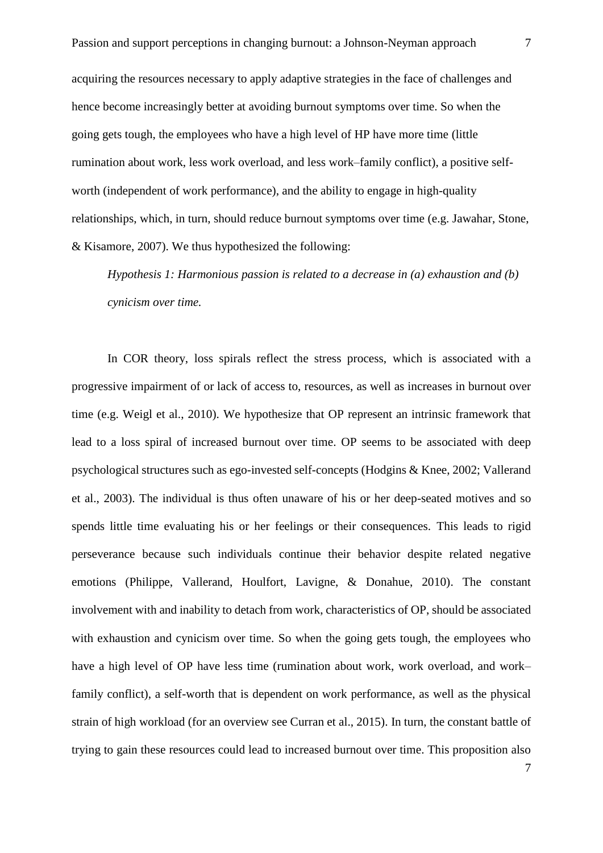acquiring the resources necessary to apply adaptive strategies in the face of challenges and hence become increasingly better at avoiding burnout symptoms over time. So when the going gets tough, the employees who have a high level of HP have more time (little rumination about work, less work overload, and less work–family conflict), a positive selfworth (independent of work performance), and the ability to engage in high-quality relationships, which, in turn, should reduce burnout symptoms over time (e.g. Jawahar, Stone, & Kisamore, 2007). We thus hypothesized the following:

*Hypothesis 1: Harmonious passion is related to a decrease in (a) exhaustion and (b) cynicism over time.*

In COR theory, loss spirals reflect the stress process, which is associated with a progressive impairment of or lack of access to, resources, as well as increases in burnout over time (e.g. Weigl et al., 2010). We hypothesize that OP represent an intrinsic framework that lead to a loss spiral of increased burnout over time. OP seems to be associated with deep psychological structures such as ego-invested self-concepts (Hodgins & Knee, 2002; Vallerand et al., 2003). The individual is thus often unaware of his or her deep-seated motives and so spends little time evaluating his or her feelings or their consequences. This leads to rigid perseverance because such individuals continue their behavior despite related negative emotions (Philippe, Vallerand, Houlfort, Lavigne, & Donahue, 2010). The constant involvement with and inability to detach from work, characteristics of OP, should be associated with exhaustion and cynicism over time. So when the going gets tough, the employees who have a high level of OP have less time (rumination about work, work overload, and work– family conflict), a self-worth that is dependent on work performance, as well as the physical strain of high workload (for an overview see Curran et al., 2015). In turn, the constant battle of trying to gain these resources could lead to increased burnout over time. This proposition also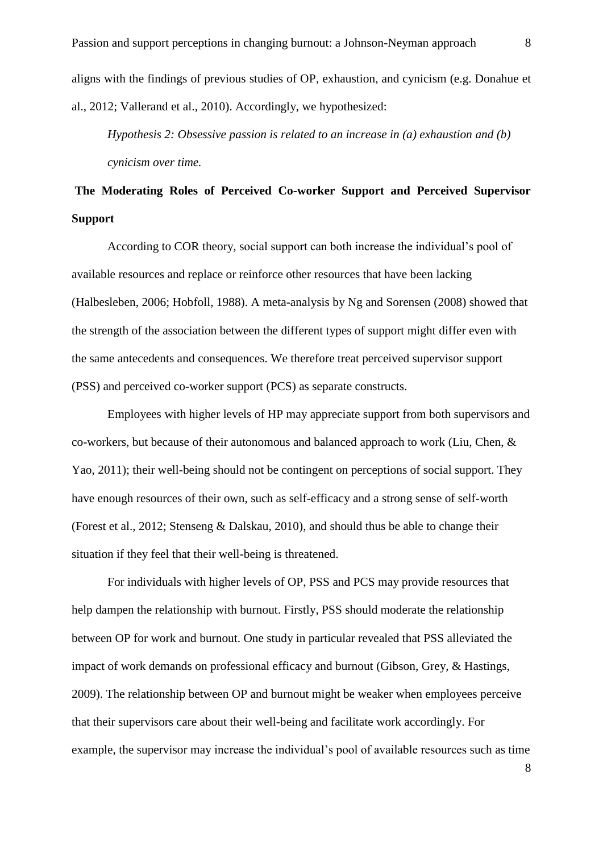aligns with the findings of previous studies of OP, exhaustion, and cynicism (e.g. Donahue et al., 2012; Vallerand et al., 2010). Accordingly, we hypothesized:

*Hypothesis 2: Obsessive passion is related to an increase in (a) exhaustion and (b) cynicism over time.*

# **The Moderating Roles of Perceived Co-worker Support and Perceived Supervisor Support**

According to COR theory, social support can both increase the individual's pool of available resources and replace or reinforce other resources that have been lacking (Halbesleben, 2006; Hobfoll, 1988). A meta-analysis by Ng and Sorensen (2008) showed that the strength of the association between the different types of support might differ even with the same antecedents and consequences. We therefore treat perceived supervisor support (PSS) and perceived co-worker support (PCS) as separate constructs.

Employees with higher levels of HP may appreciate support from both supervisors and co-workers, but because of their autonomous and balanced approach to work (Liu, Chen, & Yao, 2011); their well-being should not be contingent on perceptions of social support. They have enough resources of their own, such as self-efficacy and a strong sense of self-worth (Forest et al., 2012; Stenseng & Dalskau, 2010), and should thus be able to change their situation if they feel that their well-being is threatened.

For individuals with higher levels of OP, PSS and PCS may provide resources that help dampen the relationship with burnout. Firstly, PSS should moderate the relationship between OP for work and burnout. One study in particular revealed that PSS alleviated the impact of work demands on professional efficacy and burnout (Gibson, Grey, & Hastings, 2009). The relationship between OP and burnout might be weaker when employees perceive that their supervisors care about their well-being and facilitate work accordingly. For example, the supervisor may increase the individual's pool of available resources such as time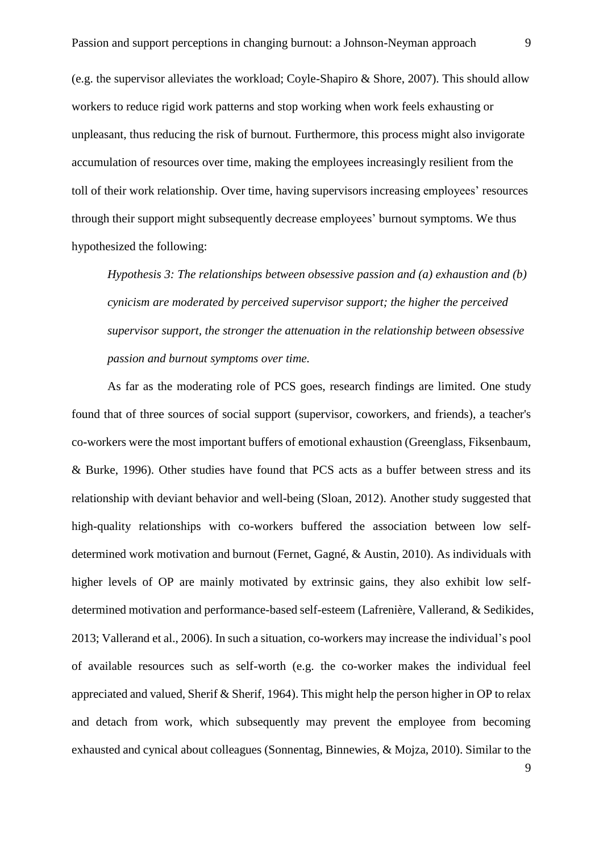(e.g. the supervisor alleviates the workload; Coyle-Shapiro & Shore, 2007). This should allow workers to reduce rigid work patterns and stop working when work feels exhausting or unpleasant, thus reducing the risk of burnout. Furthermore, this process might also invigorate accumulation of resources over time, making the employees increasingly resilient from the toll of their work relationship. Over time, having supervisors increasing employees' resources through their support might subsequently decrease employees' burnout symptoms. We thus hypothesized the following:

*Hypothesis 3: The relationships between obsessive passion and (a) exhaustion and (b) cynicism are moderated by perceived supervisor support; the higher the perceived supervisor support, the stronger the attenuation in the relationship between obsessive passion and burnout symptoms over time.* 

As far as the moderating role of PCS goes, research findings are limited. One study found that of three sources of social support (supervisor, coworkers, and friends), a teacher's co-workers were the most important buffers of emotional exhaustion (Greenglass, Fiksenbaum, & Burke, 1996). Other studies have found that PCS acts as a buffer between stress and its relationship with deviant behavior and well-being (Sloan, 2012). Another study suggested that high-quality relationships with co-workers buffered the association between low selfdetermined work motivation and burnout (Fernet, Gagné, & Austin, 2010). As individuals with higher levels of OP are mainly motivated by extrinsic gains, they also exhibit low selfdetermined motivation and performance-based self-esteem (Lafrenière, Vallerand, & Sedikides, 2013; Vallerand et al., 2006). In such a situation, co-workers may increase the individual's pool of available resources such as self-worth (e.g. the co-worker makes the individual feel appreciated and valued, Sherif & Sherif, 1964). This might help the person higher in OP to relax and detach from work, which subsequently may prevent the employee from becoming exhausted and cynical about colleagues (Sonnentag, Binnewies, & Mojza, 2010). Similar to the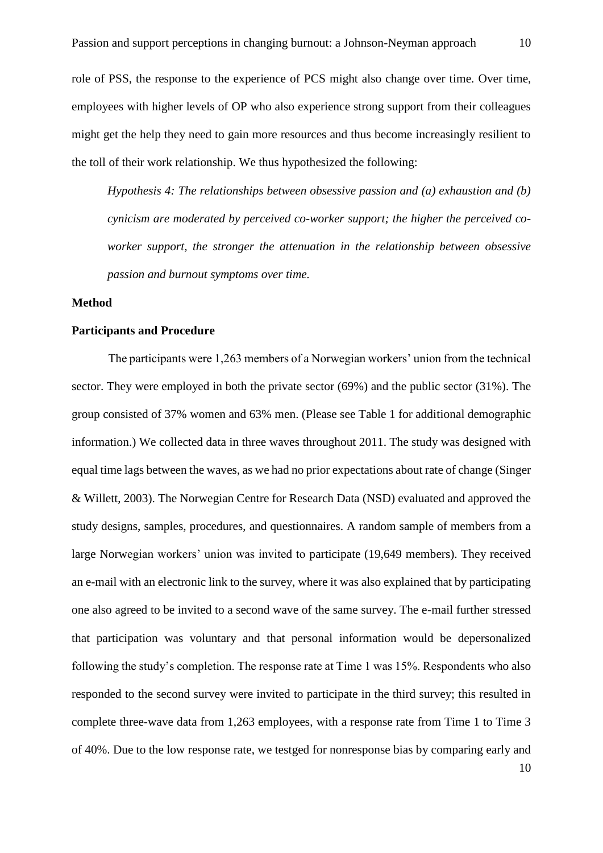role of PSS, the response to the experience of PCS might also change over time. Over time, employees with higher levels of OP who also experience strong support from their colleagues might get the help they need to gain more resources and thus become increasingly resilient to the toll of their work relationship. We thus hypothesized the following:

*Hypothesis 4: The relationships between obsessive passion and (a) exhaustion and (b) cynicism are moderated by perceived co-worker support; the higher the perceived coworker support, the stronger the attenuation in the relationship between obsessive passion and burnout symptoms over time.* 

#### **Method**

## **Participants and Procedure**

The participants were 1,263 members of a Norwegian workers' union from the technical sector. They were employed in both the private sector (69%) and the public sector (31%). The group consisted of 37% women and 63% men. (Please see Table 1 for additional demographic information.) We collected data in three waves throughout 2011. The study was designed with equal time lags between the waves, as we had no prior expectations about rate of change (Singer & Willett, 2003). The Norwegian Centre for Research Data (NSD) evaluated and approved the study designs, samples, procedures, and questionnaires. A random sample of members from a large Norwegian workers' union was invited to participate (19,649 members). They received an e-mail with an electronic link to the survey, where it was also explained that by participating one also agreed to be invited to a second wave of the same survey. The e-mail further stressed that participation was voluntary and that personal information would be depersonalized following the study's completion. The response rate at Time 1 was 15%. Respondents who also responded to the second survey were invited to participate in the third survey; this resulted in complete three-wave data from 1,263 employees, with a response rate from Time 1 to Time 3 of 40%. Due to the low response rate, we testged for nonresponse bias by comparing early and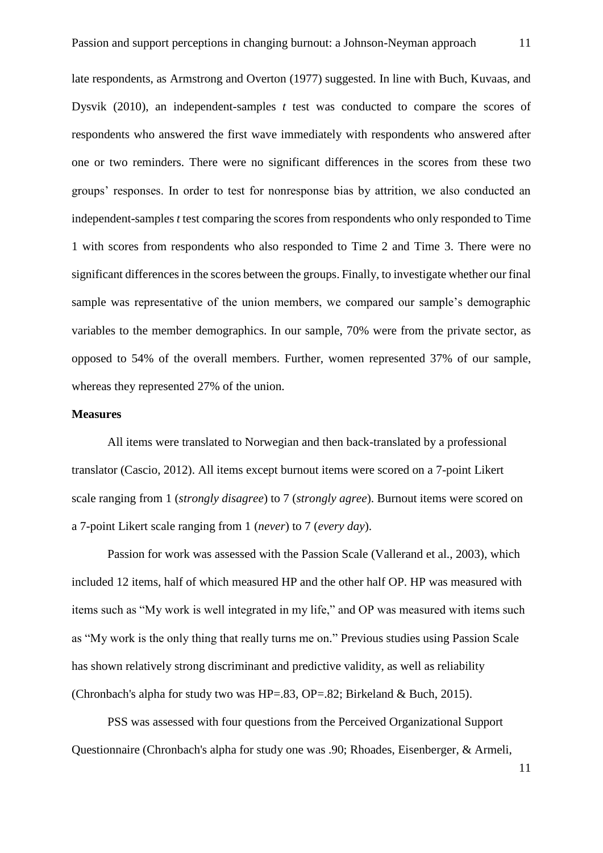late respondents, as Armstrong and Overton (1977) suggested. In line with Buch, Kuvaas, and Dysvik (2010), an independent-samples *t* test was conducted to compare the scores of respondents who answered the first wave immediately with respondents who answered after one or two reminders. There were no significant differences in the scores from these two groups' responses. In order to test for nonresponse bias by attrition, we also conducted an independent-samples *t* test comparing the scores from respondents who only responded to Time 1 with scores from respondents who also responded to Time 2 and Time 3. There were no significant differences in the scores between the groups. Finally, to investigate whether our final sample was representative of the union members, we compared our sample's demographic variables to the member demographics. In our sample, 70% were from the private sector, as opposed to 54% of the overall members. Further, women represented 37% of our sample, whereas they represented 27% of the union.

#### **Measures**

All items were translated to Norwegian and then back-translated by a professional translator (Cascio, 2012). All items except burnout items were scored on a 7-point Likert scale ranging from 1 (*strongly disagree*) to 7 (*strongly agree*). Burnout items were scored on a 7-point Likert scale ranging from 1 (*never*) to 7 (*every day*).

Passion for work was assessed with the Passion Scale (Vallerand et al., 2003), which included 12 items, half of which measured HP and the other half OP. HP was measured with items such as "My work is well integrated in my life," and OP was measured with items such as "My work is the only thing that really turns me on." Previous studies using Passion Scale has shown relatively strong discriminant and predictive validity, as well as reliability (Chronbach's alpha for study two was  $HP = .83$ ,  $OP = .82$ ; Birkeland & Buch, 2015).

PSS was assessed with four questions from the Perceived Organizational Support Questionnaire (Chronbach's alpha for study one was .90; Rhoades, Eisenberger, & Armeli,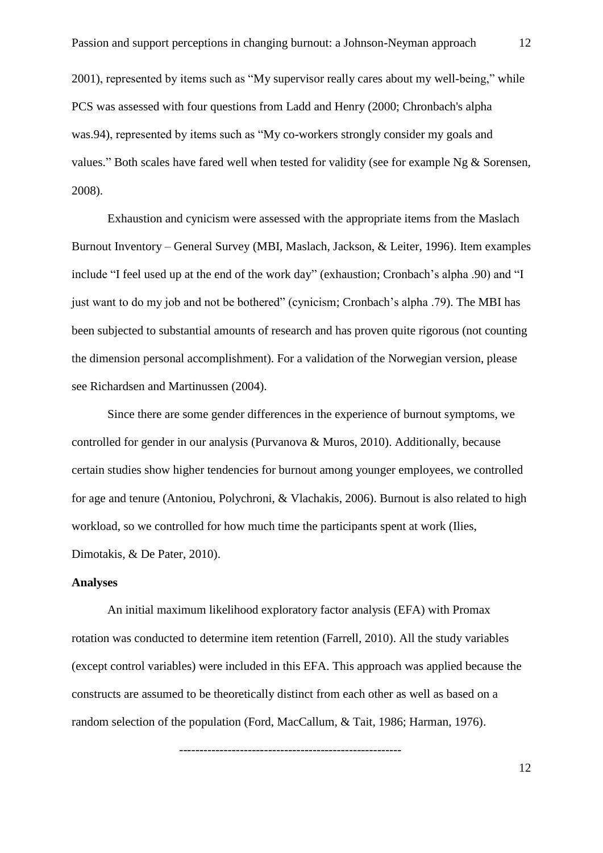2001), represented by items such as "My supervisor really cares about my well-being," while PCS was assessed with four questions from Ladd and Henry (2000; Chronbach's alpha was.94), represented by items such as "My co-workers strongly consider my goals and values." Both scales have fared well when tested for validity (see for example Ng & Sorensen, 2008).

Exhaustion and cynicism were assessed with the appropriate items from the Maslach Burnout Inventory – General Survey (MBI, Maslach, Jackson, & Leiter, 1996). Item examples include "I feel used up at the end of the work day" (exhaustion; Cronbach's alpha .90) and "I just want to do my job and not be bothered" (cynicism; Cronbach's alpha .79). The MBI has been subjected to substantial amounts of research and has proven quite rigorous (not counting the dimension personal accomplishment). For a validation of the Norwegian version, please see Richardsen and Martinussen (2004).

Since there are some gender differences in the experience of burnout symptoms, we controlled for gender in our analysis (Purvanova & Muros, 2010). Additionally, because certain studies show higher tendencies for burnout among younger employees, we controlled for age and tenure (Antoniou, Polychroni, & Vlachakis, 2006). Burnout is also related to high workload, so we controlled for how much time the participants spent at work (Ilies, Dimotakis, & De Pater, 2010).

# **Analyses**

An initial maximum likelihood exploratory factor analysis (EFA) with Promax rotation was conducted to determine item retention (Farrell, 2010). All the study variables (except control variables) were included in this EFA. This approach was applied because the constructs are assumed to be theoretically distinct from each other as well as based on a random selection of the population (Ford, MacCallum, & Tait, 1986; Harman, 1976).

-------------------------------------------------------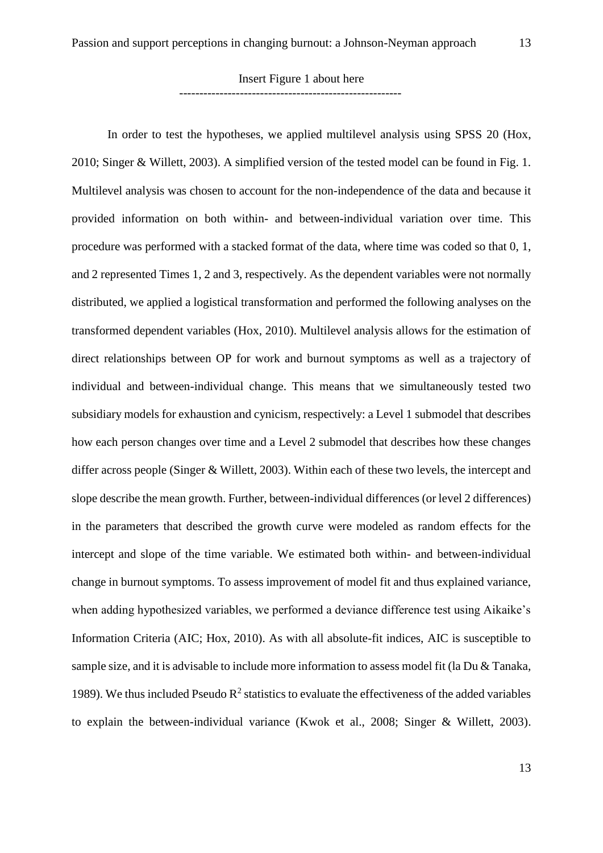-------------------------------------------------------

In order to test the hypotheses, we applied multilevel analysis using SPSS 20 (Hox, 2010; Singer & Willett, 2003). A simplified version of the tested model can be found in Fig. 1. Multilevel analysis was chosen to account for the non-independence of the data and because it provided information on both within- and between-individual variation over time. This procedure was performed with a stacked format of the data, where time was coded so that 0, 1, and 2 represented Times 1, 2 and 3, respectively. As the dependent variables were not normally distributed, we applied a logistical transformation and performed the following analyses on the transformed dependent variables (Hox, 2010). Multilevel analysis allows for the estimation of direct relationships between OP for work and burnout symptoms as well as a trajectory of individual and between-individual change. This means that we simultaneously tested two subsidiary models for exhaustion and cynicism, respectively: a Level 1 submodel that describes how each person changes over time and a Level 2 submodel that describes how these changes differ across people (Singer & Willett, 2003). Within each of these two levels, the intercept and slope describe the mean growth. Further, between-individual differences (or level 2 differences) in the parameters that described the growth curve were modeled as random effects for the intercept and slope of the time variable. We estimated both within- and between-individual change in burnout symptoms. To assess improvement of model fit and thus explained variance, when adding hypothesized variables, we performed a deviance difference test using Aikaike's Information Criteria (AIC; Hox, 2010). As with all absolute-fit indices, AIC is susceptible to sample size, and it is advisable to include more information to assess model fit (la Du & Tanaka, 1989). We thus included Pseudo  $R^2$  statistics to evaluate the effectiveness of the added variables to explain the between-individual variance (Kwok et al., 2008; Singer & Willett, 2003).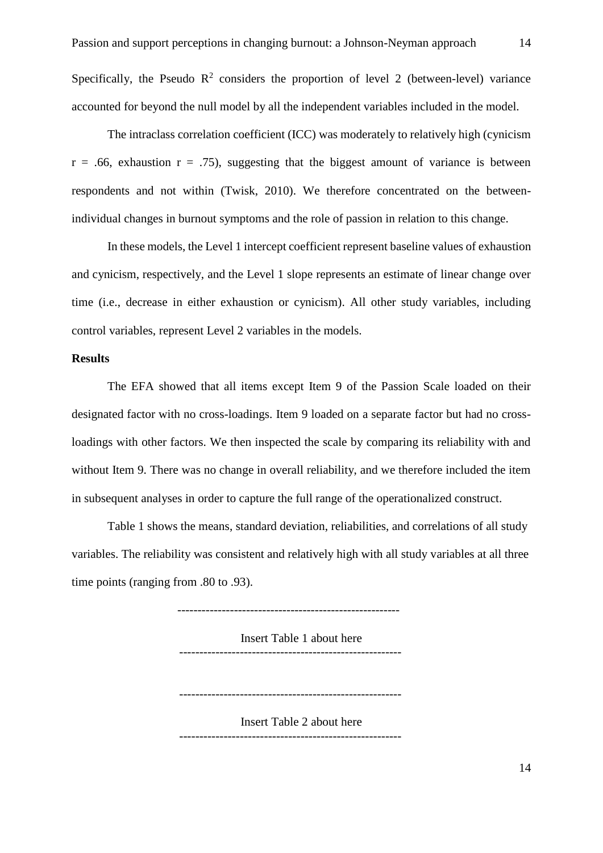Specifically, the Pseudo  $\mathbb{R}^2$  considers the proportion of level 2 (between-level) variance accounted for beyond the null model by all the independent variables included in the model.

The intraclass correlation coefficient (ICC) was moderately to relatively high (cynicism  $r = .66$ , exhaustion  $r = .75$ ), suggesting that the biggest amount of variance is between respondents and not within (Twisk, 2010). We therefore concentrated on the betweenindividual changes in burnout symptoms and the role of passion in relation to this change.

In these models, the Level 1 intercept coefficient represent baseline values of exhaustion and cynicism, respectively, and the Level 1 slope represents an estimate of linear change over time (i.e., decrease in either exhaustion or cynicism). All other study variables, including control variables, represent Level 2 variables in the models.

#### **Results**

The EFA showed that all items except Item 9 of the Passion Scale loaded on their designated factor with no cross-loadings. Item 9 loaded on a separate factor but had no crossloadings with other factors. We then inspected the scale by comparing its reliability with and without Item 9. There was no change in overall reliability, and we therefore included the item in subsequent analyses in order to capture the full range of the operationalized construct.

Table 1 shows the means, standard deviation, reliabilities, and correlations of all study variables. The reliability was consistent and relatively high with all study variables at all three time points (ranging from .80 to .93).

Insert Table 1 about here -------------------------------------------------------

-------------------------------------------------------

Insert Table 2 about here -------------------------------------------------------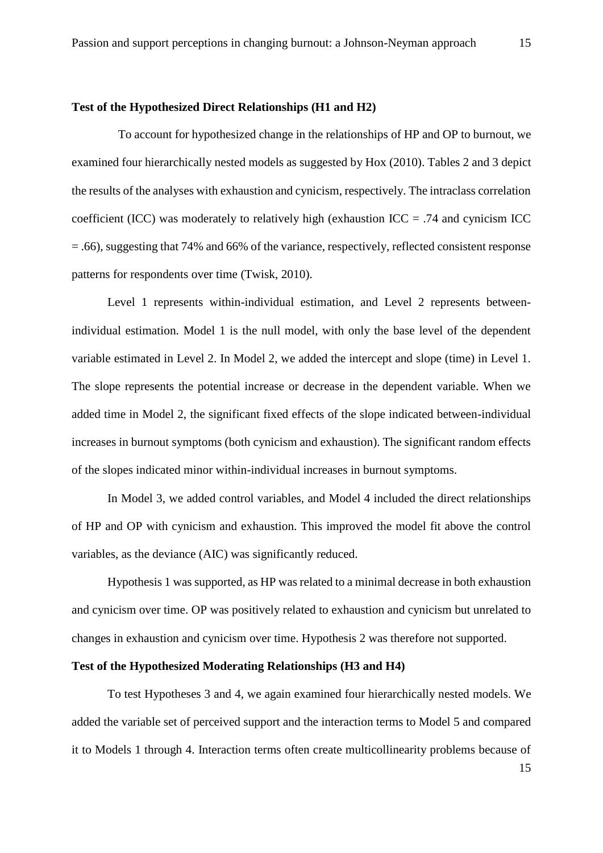# **Test of the Hypothesized Direct Relationships (H1 and H2)**

To account for hypothesized change in the relationships of HP and OP to burnout, we examined four hierarchically nested models as suggested by Hox (2010). Tables 2 and 3 depict the results of the analyses with exhaustion and cynicism, respectively. The intraclass correlation coefficient (ICC) was moderately to relatively high (exhaustion  $ICC = .74$  and cynicism ICC = .66), suggesting that 74% and 66% of the variance, respectively, reflected consistent response patterns for respondents over time (Twisk, 2010).

Level 1 represents within-individual estimation, and Level 2 represents betweenindividual estimation. Model 1 is the null model, with only the base level of the dependent variable estimated in Level 2. In Model 2, we added the intercept and slope (time) in Level 1. The slope represents the potential increase or decrease in the dependent variable. When we added time in Model 2, the significant fixed effects of the slope indicated between-individual increases in burnout symptoms (both cynicism and exhaustion). The significant random effects of the slopes indicated minor within-individual increases in burnout symptoms.

In Model 3, we added control variables, and Model 4 included the direct relationships of HP and OP with cynicism and exhaustion. This improved the model fit above the control variables, as the deviance (AIC) was significantly reduced.

Hypothesis 1 was supported, as HP was related to a minimal decrease in both exhaustion and cynicism over time. OP was positively related to exhaustion and cynicism but unrelated to changes in exhaustion and cynicism over time. Hypothesis 2 was therefore not supported.

#### **Test of the Hypothesized Moderating Relationships (H3 and H4)**

To test Hypotheses 3 and 4, we again examined four hierarchically nested models. We added the variable set of perceived support and the interaction terms to Model 5 and compared it to Models 1 through 4. Interaction terms often create multicollinearity problems because of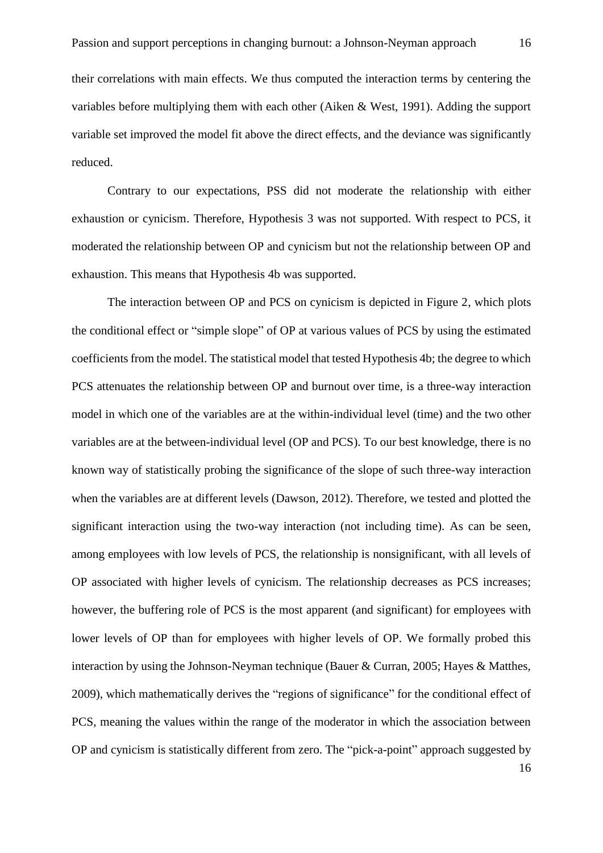their correlations with main effects. We thus computed the interaction terms by centering the variables before multiplying them with each other (Aiken & West, 1991). Adding the support variable set improved the model fit above the direct effects, and the deviance was significantly reduced.

Contrary to our expectations, PSS did not moderate the relationship with either exhaustion or cynicism. Therefore, Hypothesis 3 was not supported. With respect to PCS, it moderated the relationship between OP and cynicism but not the relationship between OP and exhaustion. This means that Hypothesis 4b was supported.

The interaction between OP and PCS on cynicism is depicted in Figure 2, which plots the conditional effect or "simple slope" of OP at various values of PCS by using the estimated coefficients from the model. The statistical model that tested Hypothesis 4b; the degree to which PCS attenuates the relationship between OP and burnout over time, is a three-way interaction model in which one of the variables are at the within-individual level (time) and the two other variables are at the between-individual level (OP and PCS). To our best knowledge, there is no known way of statistically probing the significance of the slope of such three-way interaction when the variables are at different levels (Dawson, 2012). Therefore, we tested and plotted the significant interaction using the two-way interaction (not including time). As can be seen, among employees with low levels of PCS, the relationship is nonsignificant, with all levels of OP associated with higher levels of cynicism. The relationship decreases as PCS increases; however, the buffering role of PCS is the most apparent (and significant) for employees with lower levels of OP than for employees with higher levels of OP. We formally probed this interaction by using the Johnson-Neyman technique (Bauer & Curran, 2005; Hayes & Matthes, 2009), which mathematically derives the "regions of significance" for the conditional effect of PCS, meaning the values within the range of the moderator in which the association between OP and cynicism is statistically different from zero. The "pick-a-point" approach suggested by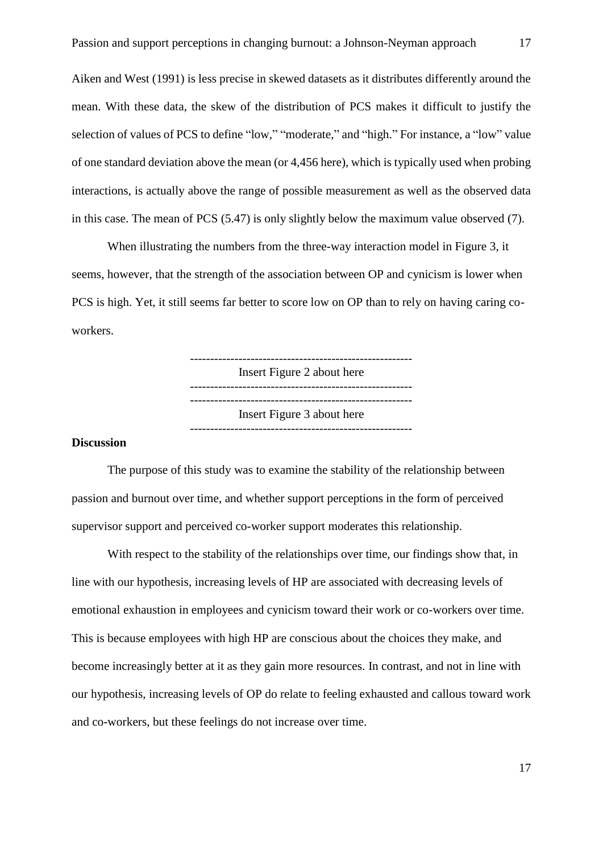Aiken and West (1991) is less precise in skewed datasets as it distributes differently around the mean. With these data, the skew of the distribution of PCS makes it difficult to justify the selection of values of PCS to define "low," "moderate," and "high." For instance, a "low" value of one standard deviation above the mean (or 4,456 here), which is typically used when probing interactions, is actually above the range of possible measurement as well as the observed data in this case. The mean of PCS (5.47) is only slightly below the maximum value observed (7).

When illustrating the numbers from the three-way interaction model in Figure 3, it seems, however, that the strength of the association between OP and cynicism is lower when PCS is high. Yet, it still seems far better to score low on OP than to rely on having caring coworkers.

> ------------------------------------------------------- Insert Figure 2 about here ------------------------------------------------------- Insert Figure 3 about here -------------------------------------------------------

## **Discussion**

The purpose of this study was to examine the stability of the relationship between passion and burnout over time, and whether support perceptions in the form of perceived supervisor support and perceived co-worker support moderates this relationship.

With respect to the stability of the relationships over time, our findings show that, in line with our hypothesis, increasing levels of HP are associated with decreasing levels of emotional exhaustion in employees and cynicism toward their work or co-workers over time. This is because employees with high HP are conscious about the choices they make, and become increasingly better at it as they gain more resources. In contrast, and not in line with our hypothesis, increasing levels of OP do relate to feeling exhausted and callous toward work and co-workers, but these feelings do not increase over time.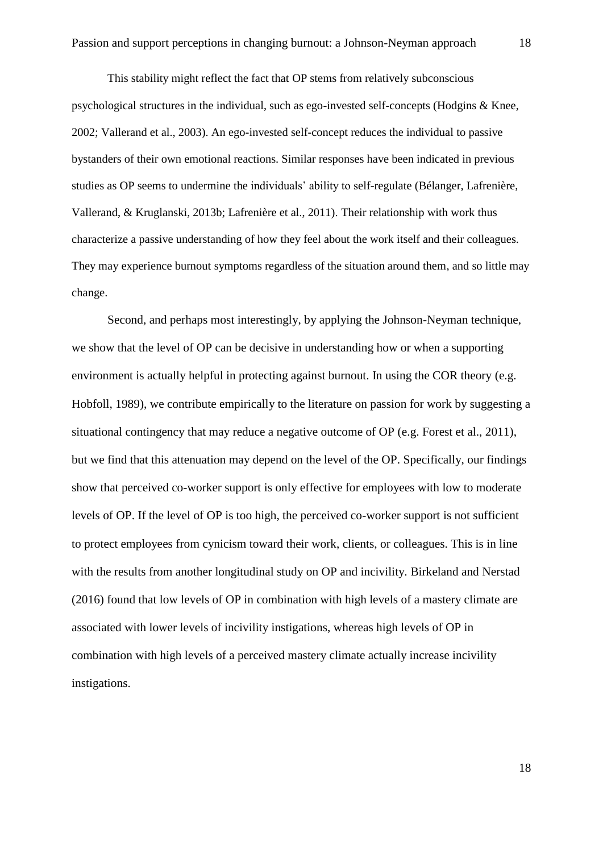This stability might reflect the fact that OP stems from relatively subconscious psychological structures in the individual, such as ego-invested self-concepts (Hodgins & Knee, 2002; Vallerand et al., 2003). An ego-invested self-concept reduces the individual to passive bystanders of their own emotional reactions. Similar responses have been indicated in previous studies as OP seems to undermine the individuals' ability to self-regulate (Bélanger, Lafrenière, Vallerand, & Kruglanski, 2013b; Lafrenière et al., 2011). Their relationship with work thus characterize a passive understanding of how they feel about the work itself and their colleagues. They may experience burnout symptoms regardless of the situation around them, and so little may change.

Second, and perhaps most interestingly, by applying the Johnson-Neyman technique, we show that the level of OP can be decisive in understanding how or when a supporting environment is actually helpful in protecting against burnout. In using the COR theory (e.g. Hobfoll, 1989), we contribute empirically to the literature on passion for work by suggesting a situational contingency that may reduce a negative outcome of OP (e.g. Forest et al., 2011), but we find that this attenuation may depend on the level of the OP. Specifically, our findings show that perceived co-worker support is only effective for employees with low to moderate levels of OP. If the level of OP is too high, the perceived co-worker support is not sufficient to protect employees from cynicism toward their work, clients, or colleagues. This is in line with the results from another longitudinal study on OP and incivility. Birkeland and Nerstad (2016) found that low levels of OP in combination with high levels of a mastery climate are associated with lower levels of incivility instigations, whereas high levels of OP in combination with high levels of a perceived mastery climate actually increase incivility instigations.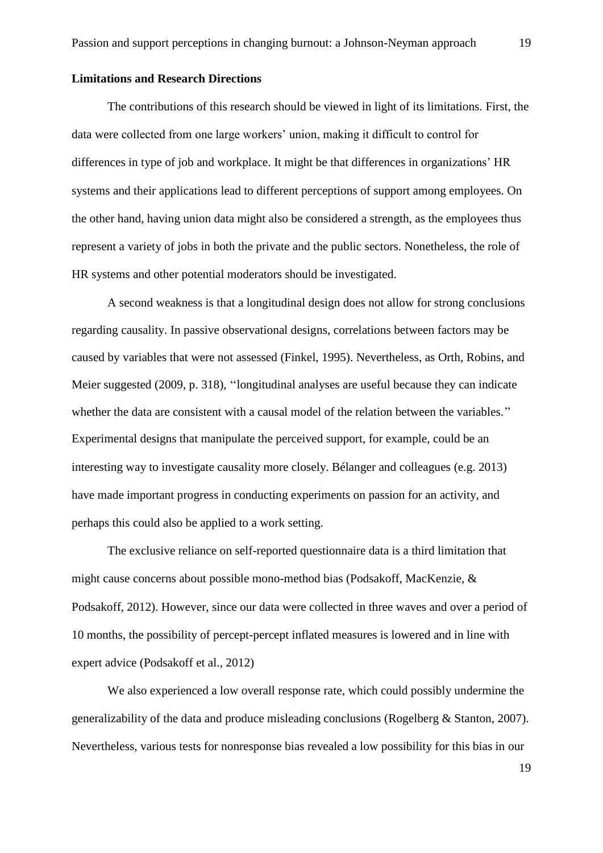#### **Limitations and Research Directions**

The contributions of this research should be viewed in light of its limitations. First, the data were collected from one large workers' union, making it difficult to control for differences in type of job and workplace. It might be that differences in organizations' HR systems and their applications lead to different perceptions of support among employees. On the other hand, having union data might also be considered a strength, as the employees thus represent a variety of jobs in both the private and the public sectors. Nonetheless, the role of HR systems and other potential moderators should be investigated.

A second weakness is that a longitudinal design does not allow for strong conclusions regarding causality. In passive observational designs, correlations between factors may be caused by variables that were not assessed (Finkel, 1995). Nevertheless, as Orth, Robins, and Meier suggested (2009, p. 318), ''longitudinal analyses are useful because they can indicate whether the data are consistent with a causal model of the relation between the variables.'' Experimental designs that manipulate the perceived support, for example, could be an interesting way to investigate causality more closely. Bélanger and colleagues (e.g. 2013) have made important progress in conducting experiments on passion for an activity, and perhaps this could also be applied to a work setting.

The exclusive reliance on self-reported questionnaire data is a third limitation that might cause concerns about possible mono-method bias (Podsakoff, MacKenzie, & Podsakoff, 2012). However, since our data were collected in three waves and over a period of 10 months, the possibility of percept-percept inflated measures is lowered and in line with expert advice (Podsakoff et al., 2012)

We also experienced a low overall response rate, which could possibly undermine the generalizability of the data and produce misleading conclusions (Rogelberg & Stanton, 2007). Nevertheless, various tests for nonresponse bias revealed a low possibility for this bias in our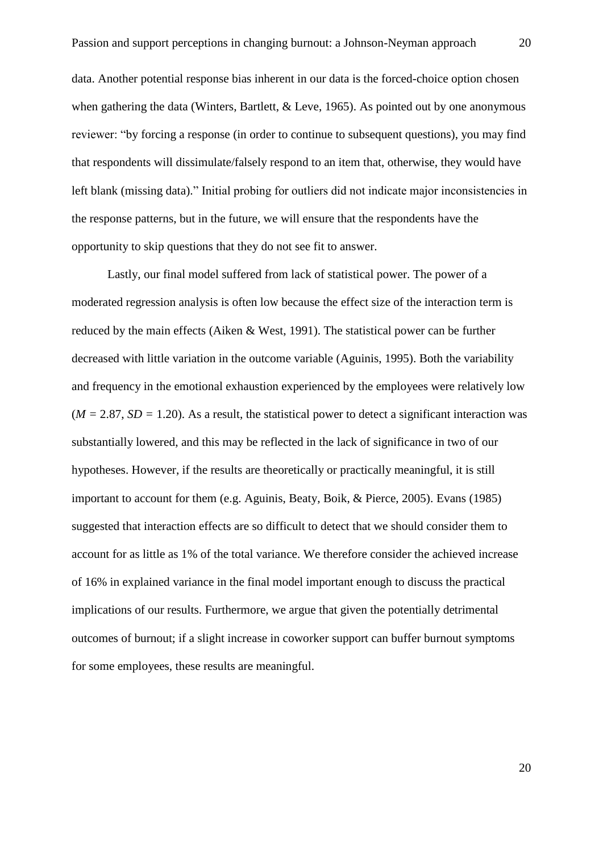data. Another potential response bias inherent in our data is the forced-choice option chosen when gathering the data (Winters, Bartlett, & Leve, 1965). As pointed out by one anonymous reviewer: "by forcing a response (in order to continue to subsequent questions), you may find that respondents will dissimulate/falsely respond to an item that, otherwise, they would have left blank (missing data)." Initial probing for outliers did not indicate major inconsistencies in the response patterns, but in the future, we will ensure that the respondents have the opportunity to skip questions that they do not see fit to answer.

Lastly, our final model suffered from lack of statistical power. The power of a moderated regression analysis is often low because the effect size of the interaction term is reduced by the main effects (Aiken & West, 1991). The statistical power can be further decreased with little variation in the outcome variable (Aguinis, 1995). Both the variability and frequency in the emotional exhaustion experienced by the employees were relatively low  $(M = 2.87, SD = 1.20)$ . As a result, the statistical power to detect a significant interaction was substantially lowered, and this may be reflected in the lack of significance in two of our hypotheses. However, if the results are theoretically or practically meaningful, it is still important to account for them (e.g. Aguinis, Beaty, Boik, & Pierce, 2005). Evans (1985) suggested that interaction effects are so difficult to detect that we should consider them to account for as little as 1% of the total variance. We therefore consider the achieved increase of 16% in explained variance in the final model important enough to discuss the practical implications of our results. Furthermore, we argue that given the potentially detrimental outcomes of burnout; if a slight increase in coworker support can buffer burnout symptoms for some employees, these results are meaningful.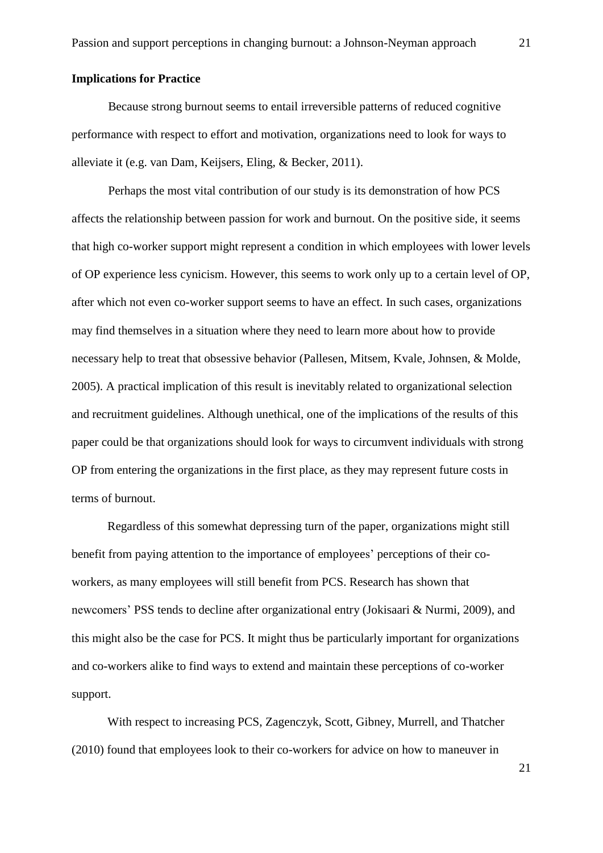# **Implications for Practice**

Because strong burnout seems to entail irreversible patterns of reduced cognitive performance with respect to effort and motivation, organizations need to look for ways to alleviate it (e.g. van Dam, Keijsers, Eling, & Becker, 2011).

Perhaps the most vital contribution of our study is its demonstration of how PCS affects the relationship between passion for work and burnout. On the positive side, it seems that high co-worker support might represent a condition in which employees with lower levels of OP experience less cynicism. However, this seems to work only up to a certain level of OP, after which not even co-worker support seems to have an effect. In such cases, organizations may find themselves in a situation where they need to learn more about how to provide necessary help to treat that obsessive behavior (Pallesen, Mitsem, Kvale, Johnsen, & Molde, 2005). A practical implication of this result is inevitably related to organizational selection and recruitment guidelines. Although unethical, one of the implications of the results of this paper could be that organizations should look for ways to circumvent individuals with strong OP from entering the organizations in the first place, as they may represent future costs in terms of burnout.

Regardless of this somewhat depressing turn of the paper, organizations might still benefit from paying attention to the importance of employees' perceptions of their coworkers, as many employees will still benefit from PCS. Research has shown that newcomers' PSS tends to decline after organizational entry (Jokisaari & Nurmi, 2009), and this might also be the case for PCS. It might thus be particularly important for organizations and co-workers alike to find ways to extend and maintain these perceptions of co-worker support.

With respect to increasing PCS, Zagenczyk, Scott, Gibney, Murrell, and Thatcher (2010) found that employees look to their co-workers for advice on how to maneuver in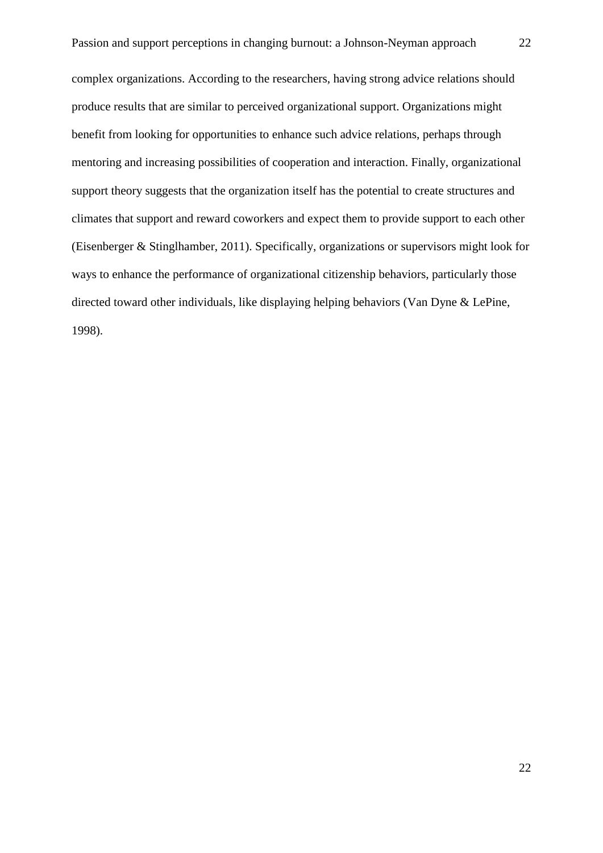complex organizations. According to the researchers, having strong advice relations should produce results that are similar to perceived organizational support. Organizations might benefit from looking for opportunities to enhance such advice relations, perhaps through mentoring and increasing possibilities of cooperation and interaction. Finally, organizational support theory suggests that the organization itself has the potential to create structures and climates that support and reward coworkers and expect them to provide support to each other (Eisenberger & Stinglhamber, 2011). Specifically, organizations or supervisors might look for ways to enhance the performance of organizational citizenship behaviors, particularly those directed toward other individuals, like displaying helping behaviors (Van Dyne & LePine, 1998).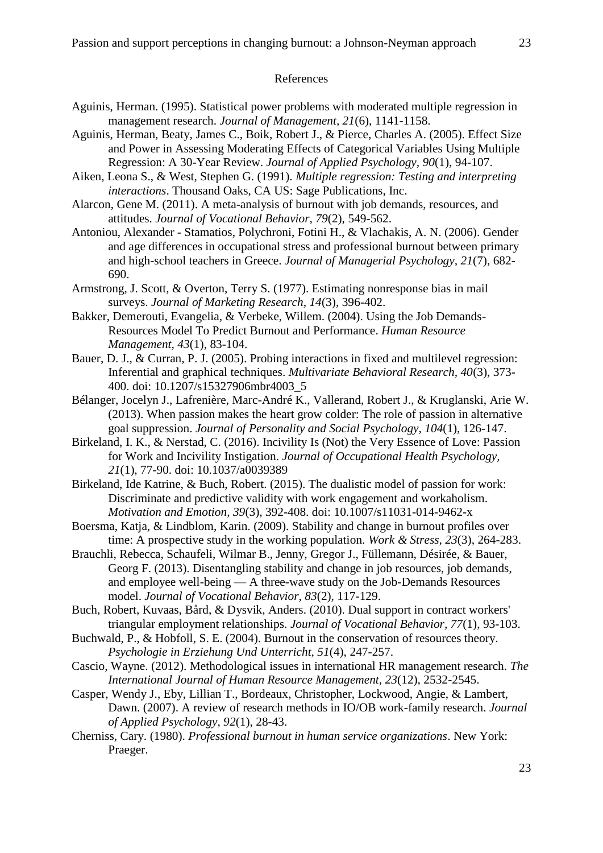#### References

- Aguinis, Herman. (1995). Statistical power problems with moderated multiple regression in management research. *Journal of Management, 21*(6), 1141-1158.
- Aguinis, Herman, Beaty, James C., Boik, Robert J., & Pierce, Charles A. (2005). Effect Size and Power in Assessing Moderating Effects of Categorical Variables Using Multiple Regression: A 30-Year Review. *Journal of Applied Psychology, 90*(1), 94-107.
- Aiken, Leona S., & West, Stephen G. (1991). *Multiple regression: Testing and interpreting interactions*. Thousand Oaks, CA US: Sage Publications, Inc.
- Alarcon, Gene M. (2011). A meta-analysis of burnout with job demands, resources, and attitudes. *Journal of Vocational Behavior, 79*(2), 549-562.
- Antoniou, Alexander Stamatios, Polychroni, Fotini H., & Vlachakis, A. N. (2006). Gender and age differences in occupational stress and professional burnout between primary and high-school teachers in Greece. *Journal of Managerial Psychology, 21*(7), 682- 690.
- Armstrong, J. Scott, & Overton, Terry S. (1977). Estimating nonresponse bias in mail surveys. *Journal of Marketing Research, 14*(3), 396-402.
- Bakker, Demerouti, Evangelia, & Verbeke, Willem. (2004). Using the Job Demands-Resources Model To Predict Burnout and Performance. *Human Resource Management, 43*(1), 83-104.
- Bauer, D. J., & Curran, P. J. (2005). Probing interactions in fixed and multilevel regression: Inferential and graphical techniques. *Multivariate Behavioral Research, 40*(3), 373- 400. doi: 10.1207/s15327906mbr4003\_5
- Bélanger, Jocelyn J., Lafrenière, Marc-André K., Vallerand, Robert J., & Kruglanski, Arie W. (2013). When passion makes the heart grow colder: The role of passion in alternative goal suppression. *Journal of Personality and Social Psychology, 104*(1), 126-147.
- Birkeland, I. K., & Nerstad, C. (2016). Incivility Is (Not) the Very Essence of Love: Passion for Work and Incivility Instigation. *Journal of Occupational Health Psychology, 21*(1), 77-90. doi: 10.1037/a0039389
- Birkeland, Ide Katrine, & Buch, Robert. (2015). The dualistic model of passion for work: Discriminate and predictive validity with work engagement and workaholism. *Motivation and Emotion, 39*(3), 392-408. doi: 10.1007/s11031-014-9462-x
- Boersma, Katja, & Lindblom, Karin. (2009). Stability and change in burnout profiles over time: A prospective study in the working population. *Work & Stress, 23*(3), 264-283.
- Brauchli, Rebecca, Schaufeli, Wilmar B., Jenny, Gregor J., Füllemann, Désirée, & Bauer, Georg F. (2013). Disentangling stability and change in job resources, job demands, and employee well-being — A three-wave study on the Job-Demands Resources model. *Journal of Vocational Behavior, 83*(2), 117-129.
- Buch, Robert, Kuvaas, Bård, & Dysvik, Anders. (2010). Dual support in contract workers' triangular employment relationships. *Journal of Vocational Behavior, 77*(1), 93-103.
- Buchwald, P., & Hobfoll, S. E. (2004). Burnout in the conservation of resources theory. *Psychologie in Erziehung Und Unterricht, 51*(4), 247-257.
- Cascio, Wayne. (2012). Methodological issues in international HR management research. *The International Journal of Human Resource Management, 23*(12), 2532-2545.
- Casper, Wendy J., Eby, Lillian T., Bordeaux, Christopher, Lockwood, Angie, & Lambert, Dawn. (2007). A review of research methods in IO/OB work-family research. *Journal of Applied Psychology, 92*(1), 28-43.
- Cherniss, Cary. (1980). *Professional burnout in human service organizations*. New York: Praeger.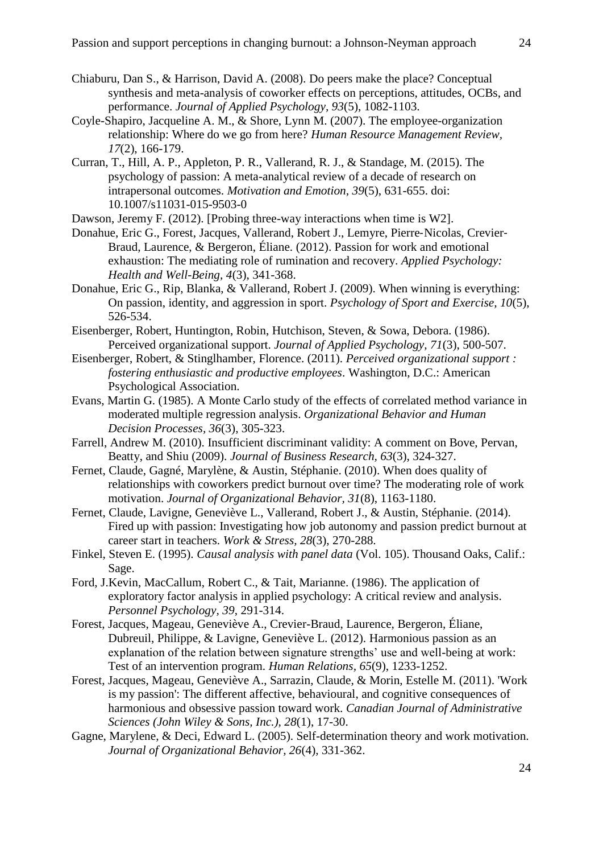- Chiaburu, Dan S., & Harrison, David A. (2008). Do peers make the place? Conceptual synthesis and meta-analysis of coworker effects on perceptions, attitudes, OCBs, and performance. *Journal of Applied Psychology, 93*(5), 1082-1103.
- Coyle-Shapiro, Jacqueline A. M., & Shore, Lynn M. (2007). The employee-organization relationship: Where do we go from here? *Human Resource Management Review, 17*(2), 166-179.
- Curran, T., Hill, A. P., Appleton, P. R., Vallerand, R. J., & Standage, M. (2015). The psychology of passion: A meta-analytical review of a decade of research on intrapersonal outcomes. *Motivation and Emotion, 39*(5), 631-655. doi: 10.1007/s11031-015-9503-0

Dawson, Jeremy F. (2012). [Probing three-way interactions when time is W2].

- Donahue, Eric G., Forest, Jacques, Vallerand, Robert J., Lemyre, Pierre‐Nicolas, Crevier‐ Braud, Laurence, & Bergeron, Éliane. (2012). Passion for work and emotional exhaustion: The mediating role of rumination and recovery. *Applied Psychology: Health and Well-Being, 4*(3), 341-368.
- Donahue, Eric G., Rip, Blanka, & Vallerand, Robert J. (2009). When winning is everything: On passion, identity, and aggression in sport. *Psychology of Sport and Exercise, 10*(5), 526-534.
- Eisenberger, Robert, Huntington, Robin, Hutchison, Steven, & Sowa, Debora. (1986). Perceived organizational support. *Journal of Applied Psychology, 71*(3), 500-507.
- Eisenberger, Robert, & Stinglhamber, Florence. (2011). *Perceived organizational support : fostering enthusiastic and productive employees*. Washington, D.C.: American Psychological Association.
- Evans, Martin G. (1985). A Monte Carlo study of the effects of correlated method variance in moderated multiple regression analysis. *Organizational Behavior and Human Decision Processes, 36*(3), 305-323.
- Farrell, Andrew M. (2010). Insufficient discriminant validity: A comment on Bove, Pervan, Beatty, and Shiu (2009). *Journal of Business Research, 63*(3), 324-327.
- Fernet, Claude, Gagné, Marylène, & Austin, Stéphanie. (2010). When does quality of relationships with coworkers predict burnout over time? The moderating role of work motivation. *Journal of Organizational Behavior, 31*(8), 1163-1180.
- Fernet, Claude, Lavigne, Geneviève L., Vallerand, Robert J., & Austin, Stéphanie. (2014). Fired up with passion: Investigating how job autonomy and passion predict burnout at career start in teachers. *Work & Stress, 28*(3), 270-288.
- Finkel, Steven E. (1995). *Causal analysis with panel data* (Vol. 105). Thousand Oaks, Calif.: Sage.
- Ford, J.Kevin, MacCallum, Robert C., & Tait, Marianne. (1986). The application of exploratory factor analysis in applied psychology: A critical review and analysis. *Personnel Psychology, 39*, 291-314.
- Forest, Jacques, Mageau, Geneviève A., Crevier-Braud, Laurence, Bergeron, Éliane, Dubreuil, Philippe, & Lavigne, Geneviève L. (2012). Harmonious passion as an explanation of the relation between signature strengths' use and well-being at work: Test of an intervention program. *Human Relations, 65*(9), 1233-1252.
- Forest, Jacques, Mageau, Geneviève A., Sarrazin, Claude, & Morin, Estelle M. (2011). 'Work is my passion': The different affective, behavioural, and cognitive consequences of harmonious and obsessive passion toward work. *Canadian Journal of Administrative Sciences (John Wiley & Sons, Inc.), 28*(1), 17-30.
- Gagne, Marylene, & Deci, Edward L. (2005). Self-determination theory and work motivation. *Journal of Organizational Behavior, 26*(4), 331-362.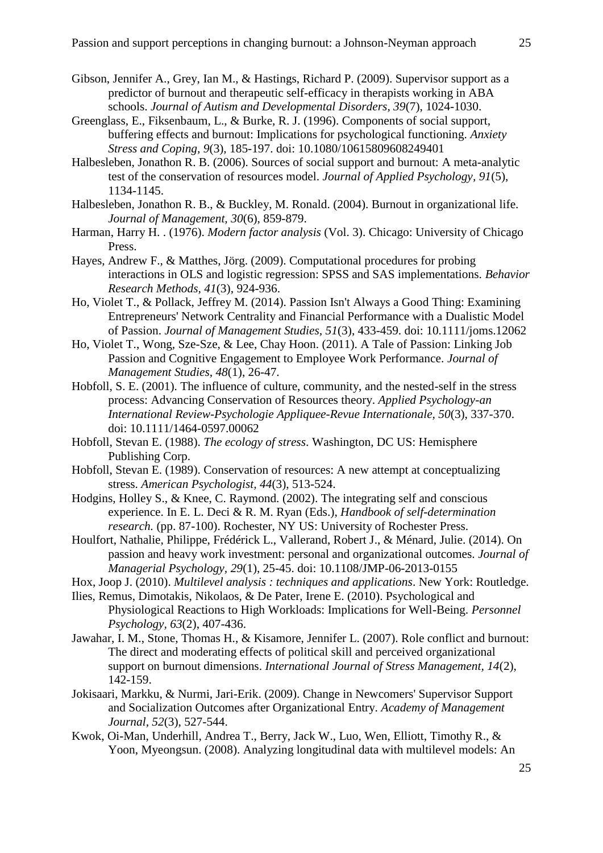- Gibson, Jennifer A., Grey, Ian M., & Hastings, Richard P. (2009). Supervisor support as a predictor of burnout and therapeutic self-efficacy in therapists working in ABA schools. *Journal of Autism and Developmental Disorders, 39*(7), 1024-1030.
- Greenglass, E., Fiksenbaum, L., & Burke, R. J. (1996). Components of social support, buffering effects and burnout: Implications for psychological functioning. *Anxiety Stress and Coping, 9*(3), 185-197. doi: 10.1080/10615809608249401
- Halbesleben, Jonathon R. B. (2006). Sources of social support and burnout: A meta-analytic test of the conservation of resources model. *Journal of Applied Psychology, 91*(5), 1134-1145.
- Halbesleben, Jonathon R. B., & Buckley, M. Ronald. (2004). Burnout in organizational life. *Journal of Management, 30*(6), 859-879.
- Harman, Harry H. . (1976). *Modern factor analysis* (Vol. 3). Chicago: University of Chicago Press.
- Hayes, Andrew F., & Matthes, Jörg. (2009). Computational procedures for probing interactions in OLS and logistic regression: SPSS and SAS implementations. *Behavior Research Methods, 41*(3), 924-936.
- Ho, Violet T., & Pollack, Jeffrey M. (2014). Passion Isn't Always a Good Thing: Examining Entrepreneurs' Network Centrality and Financial Performance with a Dualistic Model of Passion. *Journal of Management Studies, 51*(3), 433-459. doi: 10.1111/joms.12062
- Ho, Violet T., Wong, Sze-Sze, & Lee, Chay Hoon. (2011). A Tale of Passion: Linking Job Passion and Cognitive Engagement to Employee Work Performance. *Journal of Management Studies, 48*(1), 26-47.
- Hobfoll, S. E. (2001). The influence of culture, community, and the nested-self in the stress process: Advancing Conservation of Resources theory. *Applied Psychology-an International Review-Psychologie Appliquee-Revue Internationale, 50*(3), 337-370. doi: 10.1111/1464-0597.00062
- Hobfoll, Stevan E. (1988). *The ecology of stress*. Washington, DC US: Hemisphere Publishing Corp.
- Hobfoll, Stevan E. (1989). Conservation of resources: A new attempt at conceptualizing stress. *American Psychologist, 44*(3), 513-524.
- Hodgins, Holley S., & Knee, C. Raymond. (2002). The integrating self and conscious experience. In E. L. Deci & R. M. Ryan (Eds.), *Handbook of self-determination research.* (pp. 87-100). Rochester, NY US: University of Rochester Press.
- Houlfort, Nathalie, Philippe, Frédérick L., Vallerand, Robert J., & Ménard, Julie. (2014). On passion and heavy work investment: personal and organizational outcomes. *Journal of Managerial Psychology, 29*(1), 25-45. doi: 10.1108/JMP-06-2013-0155
- Hox, Joop J. (2010). *Multilevel analysis : techniques and applications*. New York: Routledge.
- Ilies, Remus, Dimotakis, Nikolaos, & De Pater, Irene E. (2010). Psychological and Physiological Reactions to High Workloads: Implications for Well-Being. *Personnel Psychology, 63*(2), 407-436.
- Jawahar, I. M., Stone, Thomas H., & Kisamore, Jennifer L. (2007). Role conflict and burnout: The direct and moderating effects of political skill and perceived organizational support on burnout dimensions. *International Journal of Stress Management, 14*(2), 142-159.
- Jokisaari, Markku, & Nurmi, Jari-Erik. (2009). Change in Newcomers' Supervisor Support and Socialization Outcomes after Organizational Entry. *Academy of Management Journal, 52*(3), 527-544.
- Kwok, Oi-Man, Underhill, Andrea T., Berry, Jack W., Luo, Wen, Elliott, Timothy R., & Yoon, Myeongsun. (2008). Analyzing longitudinal data with multilevel models: An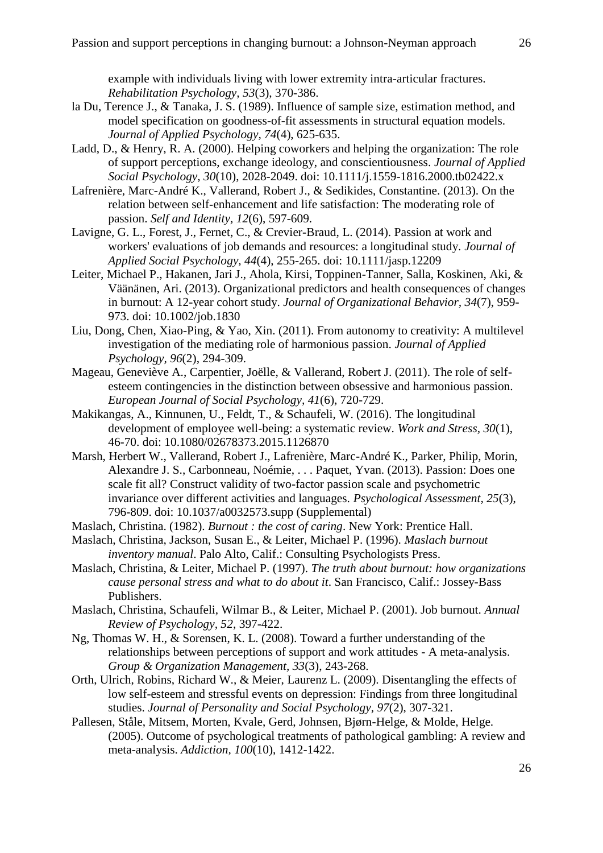- la Du, Terence J., & Tanaka, J. S. (1989). Influence of sample size, estimation method, and model specification on goodness-of-fit assessments in structural equation models. *Journal of Applied Psychology, 74*(4), 625-635.
- Ladd, D., & Henry, R. A. (2000). Helping coworkers and helping the organization: The role of support perceptions, exchange ideology, and conscientiousness. *Journal of Applied Social Psychology, 30*(10), 2028-2049. doi: 10.1111/j.1559-1816.2000.tb02422.x
- Lafrenière, Marc-André K., Vallerand, Robert J., & Sedikides, Constantine. (2013). On the relation between self-enhancement and life satisfaction: The moderating role of passion. *Self and Identity, 12*(6), 597-609.
- Lavigne, G. L., Forest, J., Fernet, C., & Crevier-Braud, L. (2014). Passion at work and workers' evaluations of job demands and resources: a longitudinal study. *Journal of Applied Social Psychology, 44*(4), 255-265. doi: 10.1111/jasp.12209
- Leiter, Michael P., Hakanen, Jari J., Ahola, Kirsi, Toppinen-Tanner, Salla, Koskinen, Aki, & Väänänen, Ari. (2013). Organizational predictors and health consequences of changes in burnout: A 12-year cohort study. *Journal of Organizational Behavior, 34*(7), 959- 973. doi: 10.1002/job.1830
- Liu, Dong, Chen, Xiao-Ping, & Yao, Xin. (2011). From autonomy to creativity: A multilevel investigation of the mediating role of harmonious passion. *Journal of Applied Psychology, 96*(2), 294-309.
- Mageau, Geneviève A., Carpentier, Joëlle, & Vallerand, Robert J. (2011). The role of selfesteem contingencies in the distinction between obsessive and harmonious passion. *European Journal of Social Psychology, 41*(6), 720-729.
- Makikangas, A., Kinnunen, U., Feldt, T., & Schaufeli, W. (2016). The longitudinal development of employee well-being: a systematic review. *Work and Stress, 30*(1), 46-70. doi: 10.1080/02678373.2015.1126870
- Marsh, Herbert W., Vallerand, Robert J., Lafrenière, Marc-André K., Parker, Philip, Morin, Alexandre J. S., Carbonneau, Noémie, . . . Paquet, Yvan. (2013). Passion: Does one scale fit all? Construct validity of two-factor passion scale and psychometric invariance over different activities and languages. *Psychological Assessment, 25*(3), 796-809. doi: 10.1037/a0032573.supp (Supplemental)
- Maslach, Christina. (1982). *Burnout : the cost of caring*. New York: Prentice Hall.
- Maslach, Christina, Jackson, Susan E., & Leiter, Michael P. (1996). *Maslach burnout inventory manual*. Palo Alto, Calif.: Consulting Psychologists Press.
- Maslach, Christina, & Leiter, Michael P. (1997). *The truth about burnout: how organizations cause personal stress and what to do about it*. San Francisco, Calif.: Jossey-Bass Publishers.
- Maslach, Christina, Schaufeli, Wilmar B., & Leiter, Michael P. (2001). Job burnout. *Annual Review of Psychology, 52*, 397-422.
- Ng, Thomas W. H., & Sorensen, K. L. (2008). Toward a further understanding of the relationships between perceptions of support and work attitudes - A meta-analysis. *Group & Organization Management, 33*(3), 243-268.
- Orth, Ulrich, Robins, Richard W., & Meier, Laurenz L. (2009). Disentangling the effects of low self-esteem and stressful events on depression: Findings from three longitudinal studies. *Journal of Personality and Social Psychology, 97*(2), 307-321.
- Pallesen, Ståle, Mitsem, Morten, Kvale, Gerd, Johnsen, Bjørn-Helge, & Molde, Helge. (2005). Outcome of psychological treatments of pathological gambling: A review and meta-analysis. *Addiction, 100*(10), 1412-1422.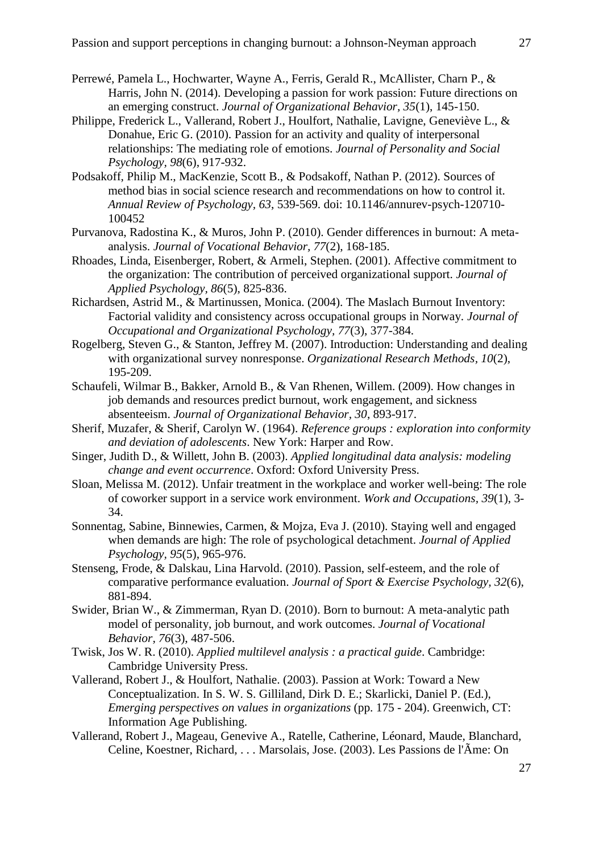- Perrewé, Pamela L., Hochwarter, Wayne A., Ferris, Gerald R., McAllister, Charn P., & Harris, John N. (2014). Developing a passion for work passion: Future directions on an emerging construct. *Journal of Organizational Behavior, 35*(1), 145-150.
- Philippe, Frederick L., Vallerand, Robert J., Houlfort, Nathalie, Lavigne, Geneviève L., & Donahue, Eric G. (2010). Passion for an activity and quality of interpersonal relationships: The mediating role of emotions. *Journal of Personality and Social Psychology, 98*(6), 917-932.
- Podsakoff, Philip M., MacKenzie, Scott B., & Podsakoff, Nathan P. (2012). Sources of method bias in social science research and recommendations on how to control it. *Annual Review of Psychology, 63*, 539-569. doi: 10.1146/annurev-psych-120710- 100452
- Purvanova, Radostina K., & Muros, John P. (2010). Gender differences in burnout: A metaanalysis. *Journal of Vocational Behavior, 77*(2), 168-185.
- Rhoades, Linda, Eisenberger, Robert, & Armeli, Stephen. (2001). Affective commitment to the organization: The contribution of perceived organizational support. *Journal of Applied Psychology, 86*(5), 825-836.
- Richardsen, Astrid M., & Martinussen, Monica. (2004). The Maslach Burnout Inventory: Factorial validity and consistency across occupational groups in Norway. *Journal of Occupational and Organizational Psychology, 77*(3), 377-384.
- Rogelberg, Steven G., & Stanton, Jeffrey M. (2007). Introduction: Understanding and dealing with organizational survey nonresponse. *Organizational Research Methods, 10*(2), 195-209.
- Schaufeli, Wilmar B., Bakker, Arnold B., & Van Rhenen, Willem. (2009). How changes in job demands and resources predict burnout, work engagement, and sickness absenteeism. *Journal of Organizational Behavior, 30*, 893-917.
- Sherif, Muzafer, & Sherif, Carolyn W. (1964). *Reference groups : exploration into conformity and deviation of adolescents*. New York: Harper and Row.
- Singer, Judith D., & Willett, John B. (2003). *Applied longitudinal data analysis: modeling change and event occurrence*. Oxford: Oxford University Press.
- Sloan, Melissa M. (2012). Unfair treatment in the workplace and worker well-being: The role of coworker support in a service work environment. *Work and Occupations, 39*(1), 3- 34.
- Sonnentag, Sabine, Binnewies, Carmen, & Mojza, Eva J. (2010). Staying well and engaged when demands are high: The role of psychological detachment. *Journal of Applied Psychology, 95*(5), 965-976.
- Stenseng, Frode, & Dalskau, Lina Harvold. (2010). Passion, self-esteem, and the role of comparative performance evaluation. *Journal of Sport & Exercise Psychology, 32*(6), 881-894.
- Swider, Brian W., & Zimmerman, Ryan D. (2010). Born to burnout: A meta-analytic path model of personality, job burnout, and work outcomes. *Journal of Vocational Behavior, 76*(3), 487-506.
- Twisk, Jos W. R. (2010). *Applied multilevel analysis : a practical guide*. Cambridge: Cambridge University Press.
- Vallerand, Robert J., & Houlfort, Nathalie. (2003). Passion at Work: Toward a New Conceptualization. In S. W. S. Gilliland, Dirk D. E.; Skarlicki, Daniel P. (Ed.), *Emerging perspectives on values in organizations* (pp. 175 - 204). Greenwich, CT: Information Age Publishing.
- Vallerand, Robert J., Mageau, Genevive A., Ratelle, Catherine, Léonard, Maude, Blanchard, Celine, Koestner, Richard, . . . Marsolais, Jose. (2003). Les Passions de l'Ãme: On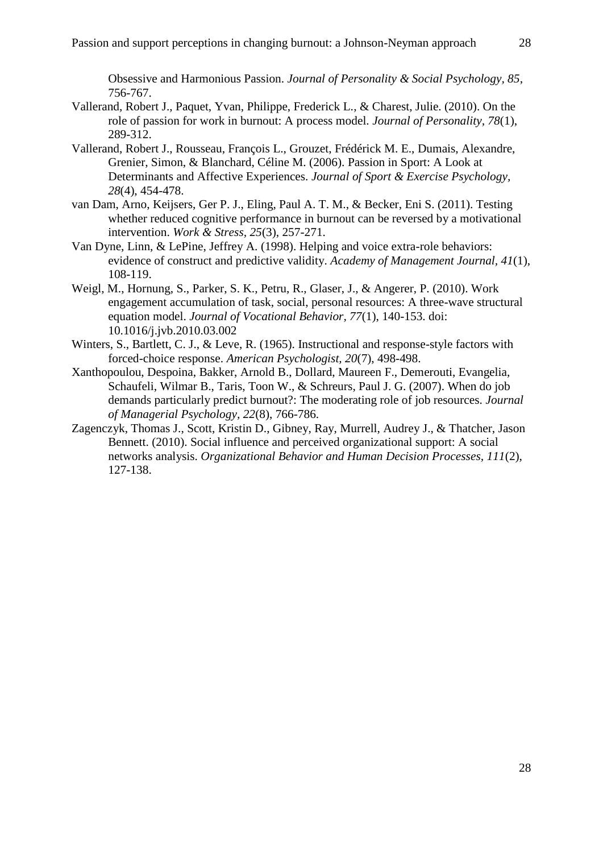- Vallerand, Robert J., Paquet, Yvan, Philippe, Frederick L., & Charest, Julie. (2010). On the role of passion for work in burnout: A process model. *Journal of Personality, 78*(1), 289-312.
- Vallerand, Robert J., Rousseau, François L., Grouzet, Frédérick M. E., Dumais, Alexandre, Grenier, Simon, & Blanchard, Céline M. (2006). Passion in Sport: A Look at Determinants and Affective Experiences. *Journal of Sport & Exercise Psychology, 28*(4), 454-478.
- van Dam, Arno, Keijsers, Ger P. J., Eling, Paul A. T. M., & Becker, Eni S. (2011). Testing whether reduced cognitive performance in burnout can be reversed by a motivational intervention. *Work & Stress, 25*(3), 257-271.
- Van Dyne, Linn, & LePine, Jeffrey A. (1998). Helping and voice extra-role behaviors: evidence of construct and predictive validity. *Academy of Management Journal, 41*(1), 108-119.
- Weigl, M., Hornung, S., Parker, S. K., Petru, R., Glaser, J., & Angerer, P. (2010). Work engagement accumulation of task, social, personal resources: A three-wave structural equation model. *Journal of Vocational Behavior, 77*(1), 140-153. doi: 10.1016/j.jvb.2010.03.002
- Winters, S., Bartlett, C. J., & Leve, R. (1965). Instructional and response-style factors with forced-choice response. *American Psychologist, 20*(7), 498-498.
- Xanthopoulou, Despoina, Bakker, Arnold B., Dollard, Maureen F., Demerouti, Evangelia, Schaufeli, Wilmar B., Taris, Toon W., & Schreurs, Paul J. G. (2007). When do job demands particularly predict burnout?: The moderating role of job resources. *Journal of Managerial Psychology, 22*(8), 766-786.
- Zagenczyk, Thomas J., Scott, Kristin D., Gibney, Ray, Murrell, Audrey J., & Thatcher, Jason Bennett. (2010). Social influence and perceived organizational support: A social networks analysis. *Organizational Behavior and Human Decision Processes, 111*(2), 127-138.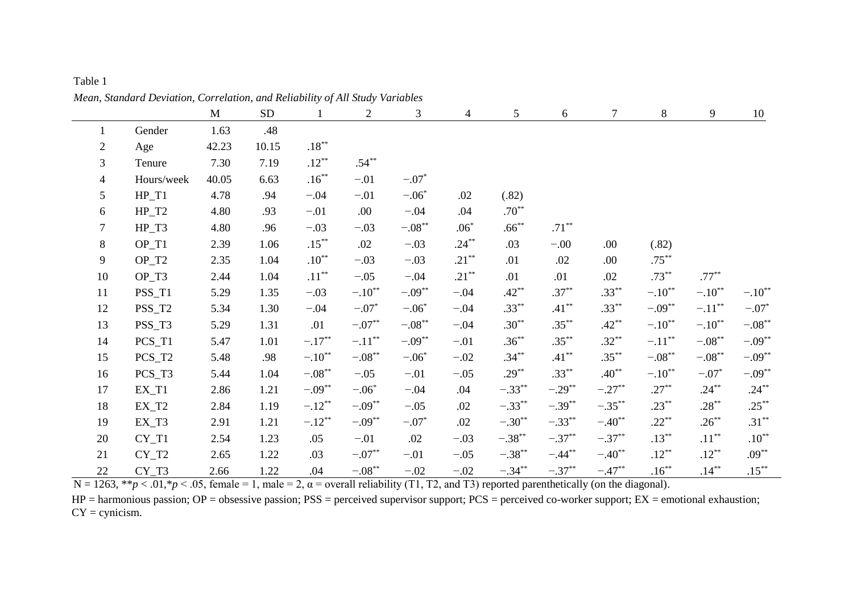| Table 1                                                                       |  |
|-------------------------------------------------------------------------------|--|
| Mean, Standard Deviation, Correlation, and Reliability of All Study Variables |  |

|                |            | $\mathbf M$ | ${\rm SD}$ | $\mathbf{1}$     | $\overline{2}$       | 3         | $\overline{4}$ | 5           | 6                    | $\tau$    | 8           | $\overline{9}$ | 10          |
|----------------|------------|-------------|------------|------------------|----------------------|-----------|----------------|-------------|----------------------|-----------|-------------|----------------|-------------|
| $\mathbf{1}$   | Gender     | 1.63        | .48        |                  |                      |           |                |             |                      |           |             |                |             |
| $\overline{2}$ | Age        | 42.23       | 10.15      | $.18^{\ast\ast}$ |                      |           |                |             |                      |           |             |                |             |
| 3              | Tenure     | 7.30        | 7.19       | $.12***$         | $.54***$             |           |                |             |                      |           |             |                |             |
| $\overline{4}$ | Hours/week | 40.05       | 6.63       | $.16***$         | $-.01$               | $-.07*$   |                |             |                      |           |             |                |             |
| 5              | $HP_T1$    | 4.78        | .94        | $-.04$           | $-.01$               | $-.06*$   | .02            | (.82)       |                      |           |             |                |             |
| 6              | $HP_T2$    | 4.80        | .93        | $-.01$           | .00.                 | $-.04$    | .04            | $.70**$     |                      |           |             |                |             |
| $\tau$         | $HP_T3$    | 4.80        | .96        | $-.03$           | $-.03$               | $-.08***$ | $.06*$         | $.66***$    | $.71***$             |           |             |                |             |
| $\,8\,$        | $OP_T1$    | 2.39        | 1.06       | $.15***$         | .02                  | $-.03$    | $.24***$       | .03         | $-0.00$              | .00.      | (.82)       |                |             |
| 9              | $OP_T2$    | 2.35        | 1.04       | $.10***$         | $-.03$               | $-.03$    | $.21***$       | .01         | .02                  | .00.      | $.75***$    |                |             |
| 10             | $OP_T3$    | 2.44        | 1.04       | $.11***$         | $-.05$               | $-.04$    | $.21***$       | .01         | .01                  | .02       | $.73***$    | $.77***$       |             |
| 11             | PSS_T1     | 5.29        | 1.35       | $-.03$           | $-.10$ <sup>**</sup> | $-.09***$ | $-.04$         | $.42***$    | $.37***$             | $.33***$  | $-.10^{**}$ | $-.10**$       | $-.10^{**}$ |
| 12             | PSS_T2     | 5.34        | 1.30       | $-.04$           | $-.07*$              | $-.06*$   | $-.04$         | $.33***$    | $.41***$             | $.33***$  | $-.09**$    | $-.11***$      | $-.07*$     |
| 13             | PSS_T3     | 5.29        | 1.31       | .01              | $-.07**$             | $-.08***$ | $-.04$         | $.30***$    | $.35***$             | $.42**$   | $-.10**$    | $-.10**$       | $-.08***$   |
| 14             | $PCS_T1$   | 5.47        | 1.01       | $-.17***$        | $-.11***$            | $-.09***$ | $-.01$         | $.36***$    | $.35***$             | $.32***$  | $-.11***$   | $-.08***$      | $-.09***$   |
| 15             | $PCS_T2$   | 5.48        | .98        | $-.10^{**}$      | $-.08***$            | $-.06*$   | $-.02$         | $.34***$    | $.41***$             | $.35***$  | $-.08***$   | $-.08***$      | $-.09***$   |
| 16             | PCS_T3     | 5.44        | 1.04       | $-.08**$         | $-.05$               | $-.01$    | $-.05$         | $.29***$    | $.33***$             | $.40**$   | $-.10**$    | $-.07*$        | $-.09**$    |
| 17             | $EX_T1$    | 2.86        | 1.21       | $-.09***$        | $-.06*$              | $-.04$    | .04            | $-.33**$    | $-.29$ <sup>**</sup> | $-.27***$ | $.27***$    | $.24***$       | $.24***$    |
| 18             | $EX_T2$    | 2.84        | 1.19       | $-.12***$        | $-.09**$             | $-.05$    | .02            | $-.33***$   | $-.39***$            | $-.35***$ | $.23***$    | $.28***$       | $.25***$    |
| 19             | $EX_T3$    | 2.91        | 1.21       | $-.12**$         | $-.09**$             | $-.07*$   | .02            | $-.30**$    | $-.33**$             | $-.40**$  | $.22***$    | $.26***$       | $.31***$    |
| 20             | $CY_T1$    | 2.54        | 1.23       | .05              | $-.01$               | .02       | $-.03$         | $-.38^{**}$ | $-.37**$             | $-.37***$ | $.13***$    | $.11***$       | $.10***$    |
| 21             | $CY_T2$    | 2.65        | 1.22       | .03              | $-.07**$             | $-.01$    | $-.05$         | $-.38***$   | $-.44**$             | $-.40**$  | $.12***$    | $.12***$       | $.09***$    |
| 22             | $CY_T3$    | 2.66        | 1.22       | .04              | $-.08***$            | $-.02$    | $-.02$         | $-.34**$    | $-.37***$            | $-.47**$  | $.16***$    | $.14***$       | $.15***$    |

 $N = 1263$ ,  $*p < .01$ ,  $*p < .05$ , female = 1, male = 2,  $\alpha$  = overall reliability (T1, T2, and T3) reported parenthetically (on the diagonal).

HP = harmonious passion; OP = obsessive passion; PSS = perceived supervisor support; PCS = perceived co-worker support; EX = emotional exhaustion;  $CY =$  cynicism.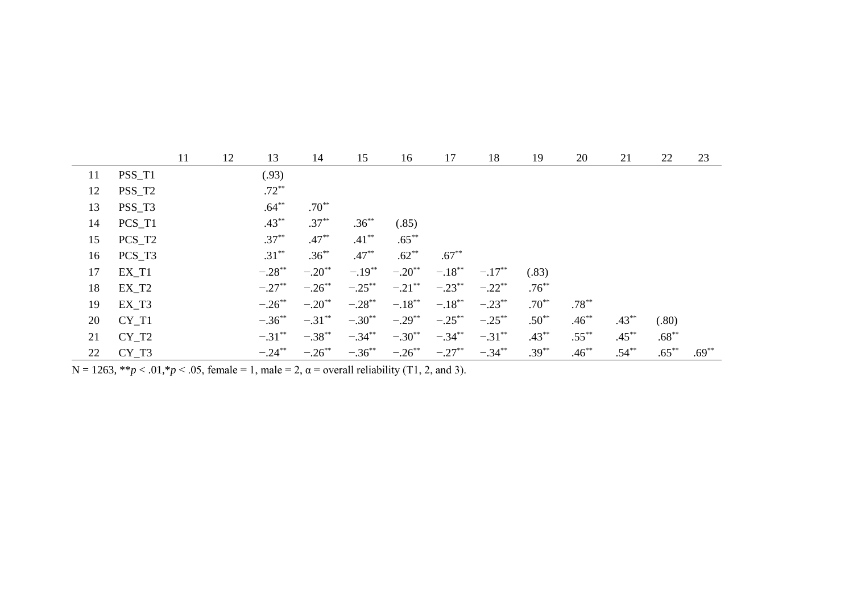|    |          | 11 | 12 | 13        | 14                   | 15        | 16                   | 17        | 18        | 19       | 20       | 21       | 22       | 23       |
|----|----------|----|----|-----------|----------------------|-----------|----------------------|-----------|-----------|----------|----------|----------|----------|----------|
| 11 | PSS_T1   |    |    | (.93)     |                      |           |                      |           |           |          |          |          |          |          |
| 12 | PSS_T2   |    |    | $.72***$  |                      |           |                      |           |           |          |          |          |          |          |
| 13 | PSS_T3   |    |    | $.64***$  | $.70**$              |           |                      |           |           |          |          |          |          |          |
| 14 | $PCS_T1$ |    |    | $.43***$  | $.37***$             | $.36***$  | (.85)                |           |           |          |          |          |          |          |
| 15 | PCS_T2   |    |    | $.37***$  | $.47***$             | $.41***$  | $.65***$             |           |           |          |          |          |          |          |
| 16 | $PCS_T3$ |    |    | $.31***$  | $.36***$             | $.47***$  | $.62**$              | $.67***$  |           |          |          |          |          |          |
| 17 | $EX_T1$  |    |    | $-.28**$  | $-.20$ <sup>**</sup> | $-.19***$ | $-.20$ <sup>**</sup> | $-.18***$ | $-.17***$ | (.83)    |          |          |          |          |
| 18 | $EX_T2$  |    |    | $-.27$ ** | $-.26$ **            | $-.25***$ | $-.21$ **            | $-.23$ ** | $-.22$ ** | $.76***$ |          |          |          |          |
| 19 | $EX_T3$  |    |    | $-.26$ ** | $-.20$ <sup>**</sup> | $-.28$ ** | $-.18***$            | $-.18***$ | $-.23$ ** | $.70***$ | $.78***$ |          |          |          |
| 20 | $CY_T1$  |    |    | $-.36***$ | $-.31***$            | $-.30**$  | $-.29***$            | $-.25$ ** | $-.25***$ | $.50**$  | $.46***$ | $.43**$  | (.80)    |          |
| 21 | $CY_T2$  |    |    | $-.31***$ | $-.38***$            | $-.34***$ | $-.30**$             | $-.34***$ | $-.31***$ | $.43***$ | $.55***$ | $.45***$ | $.68***$ |          |
| 22 | $CY_T3$  |    |    | $-.24***$ | $-.26$ **            | $-.36***$ | $-.26***$            | $-.27**$  | $-.34***$ | $.39***$ | $.46***$ | $.54***$ | $.65***$ | $.69***$ |

 $N = 1263$ , \*\**p* < .01,\**p* < .05, female = 1, male = 2,  $\alpha$  = overall reliability (T1, 2, and 3).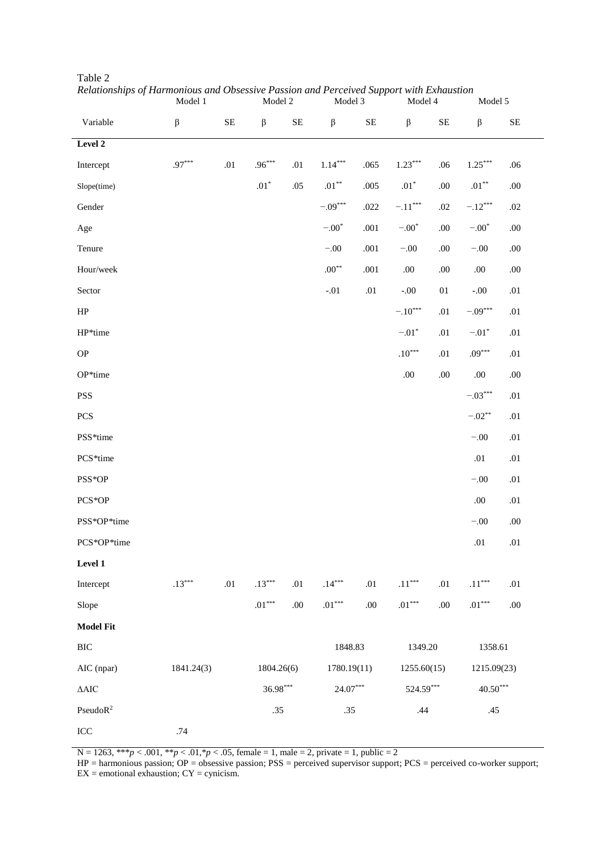|                      | Model 1              |          | Model 2              |          | Model 3              |             | Model 4              |             | Model 5               |             |
|----------------------|----------------------|----------|----------------------|----------|----------------------|-------------|----------------------|-------------|-----------------------|-------------|
| Variable             | $\boldsymbol{\beta}$ | $\rm SE$ | $\boldsymbol{\beta}$ | $\rm SE$ | $\boldsymbol{\beta}$ | $\rm SE$    | $\beta$              | $\rm SE$    | $\beta$               | $\rm SE$    |
| Level 2              |                      |          |                      |          |                      |             |                      |             |                       |             |
| Intercept            | $.97***$             | $.01\,$  | $.96***$             | .01      | $1.14^{***}\,$       | .065        | $1.23***$            | .06         | $1.25^{\ast\ast\ast}$ | .06         |
| Slope(time)          |                      |          | $.01^{\ast}$         | $.05\,$  | $.01^{\ast\ast}$     | .005        | $.01^{\ast}$         | $.00\,$     | $.01^{\ast\ast}$      | $.00\,$     |
| Gender               |                      |          |                      |          | $-.09***$            | .022        | $-.11***$            | $.02\,$     | $-.12***$             | $.02\,$     |
| Age                  |                      |          |                      |          | $-.00*$              | .001        | $-.00*$              | .00.        | $-.00*$               | .00.        |
| Tenure               |                      |          |                      |          | $-.00$               | .001        | $-.00$               | $.00\,$     | $-.00$                | $.00\,$     |
| Hour/week            |                      |          |                      |          | $.00^{**}$           | .001        | $.00\,$              | $.00\,$     | $.00\,$               | $.00\,$     |
| Sector               |                      |          |                      |          | $-.01$               | $.01\,$     | $-0.00$              | $0 \\ 1$    | $-.00$                | $.01\,$     |
| $\rm HP$             |                      |          |                      |          |                      |             | $-.10***$            | .01         | $-.09***$             | .01         |
| HP*time              |                      |          |                      |          |                      |             | $-.01*$              | $.01\,$     | $-.01*$               | .01         |
| $\mathbf{OP}$        |                      |          |                      |          |                      |             | $.10^{***}$          | .01         | $.09***$              | .01         |
| OP*time              |                      |          |                      |          |                      |             | $.00\,$              | $.00\,$     | $.00\,$               | $.00\,$     |
| <b>PSS</b>           |                      |          |                      |          |                      |             |                      |             | $-.03***$             | .01         |
| <b>PCS</b>           |                      |          |                      |          |                      |             |                      |             | $-.02**$              | $.01\,$     |
| PSS*time             |                      |          |                      |          |                      |             |                      |             | $-.00$                | .01         |
| PCS*time             |                      |          |                      |          |                      |             |                      |             | .01                   | $.01\,$     |
| PSS*OP               |                      |          |                      |          |                      |             |                      |             | $-.00$                | .01         |
| PCS*OP               |                      |          |                      |          |                      |             |                      |             | $.00\,$               | $.01\,$     |
| PSS*OP*time          |                      |          |                      |          |                      |             |                      |             | $-.00$                | .00.        |
| PCS*OP*time          |                      |          |                      |          |                      |             |                      |             | $.01\,$               | .01         |
| Level 1              |                      |          |                      |          |                      |             |                      |             |                       |             |
| Intercept            | $.13***$             | $.01\,$  | $.13***$             | .01      | $.14***$             | $.01\,$     | $.11^{\ast\ast\ast}$ | $.01\,$     | $.11^{\ast\ast\ast}$  | .01         |
| Slope                |                      |          | $.01***$             | $.00\,$  | $.01^{\ast\ast\ast}$ | .00         | $.01^{\ast\ast\ast}$ | .00.        | $.01^{\ast\ast\ast}$  | $.00\,$     |
| <b>Model Fit</b>     |                      |          |                      |          |                      |             |                      |             |                       |             |
| $\rm BIC$            |                      |          |                      |          |                      | 1848.83     |                      | 1349.20     | 1358.61               |             |
| AIC (npar)           | 1841.24(3)           |          | 1804.26(6)           |          |                      | 1780.19(11) |                      | 1255.60(15) |                       | 1215.09(23) |
| $\Delta\text{AIC}$   |                      |          | $36.98***$           |          |                      | $24.07***$  |                      | 524.59***   |                       | $40.50***$  |
| PseudoR <sup>2</sup> |                      |          | .35                  |          | .35                  |             | .44                  |             | .45                   |             |
| $\rm{ICC}$           | .74                  |          |                      |          |                      |             |                      |             |                       |             |

Table 2 *Relationships of Harmonious and Obsessive Passion and Perceived Support with Exhaustion*

 $N = 1263$ , \*\*\* $p < .001$ , \*\* $p < .01$ ,\* $p < .05$ , female = 1, male = 2, private = 1, public = 2

HP = harmonious passion; OP = obsessive passion; PSS = perceived supervisor support; PCS = perceived co-worker support;  $EX =$  emotional exhaustion;  $CY =$  cynicism.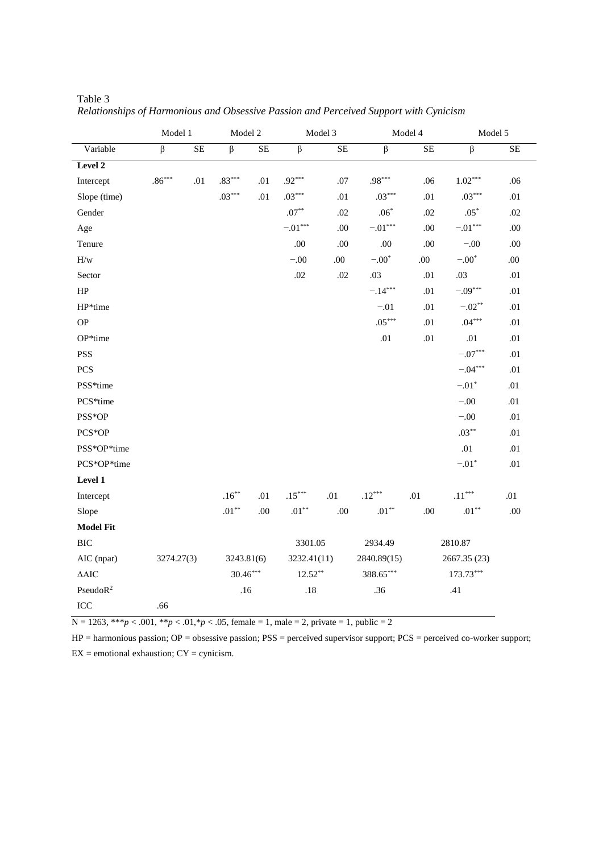|                         | Model 1              |     | Model 2              |     |                    | Model 3 | Model 4              |              | Model 5               |                        |
|-------------------------|----------------------|-----|----------------------|-----|--------------------|---------|----------------------|--------------|-----------------------|------------------------|
| Variable                | $\beta$              | SE  | $\beta$              | SE  | $\beta$            | SE      | $\beta$              | SE           | $\beta$               | $\overline{\text{SE}}$ |
| Level 2                 |                      |     |                      |     |                    |         |                      |              |                       |                        |
| Intercept               | $.86^{\ast\ast\ast}$ | .01 | $.83^{\ast\ast\ast}$ | .01 | $.92***$           | .07     | $.98***$             | .06          | $1.02^{\ast\ast\ast}$ | .06                    |
| Slope (time)            |                      |     | $.03***$             | .01 | $.03***$           | .01     | $.03***$             | .01          | $.03***$              | .01                    |
| Gender                  |                      |     |                      |     | $.07^{\ast\ast}$   | .02     | $.06^{\ast}$         | .02          | $.05^{\ast}$          | .02                    |
| Age                     |                      |     |                      |     | $-.01***$          | .00.    | $-.01***$            | .00.         | $-.01***$             | .00.                   |
| Tenure                  |                      |     |                      |     | .00.               | .00.    | .00.                 | .00          | $-.00$                | .00                    |
| $\mathbf{H}/\mathbf{w}$ |                      |     |                      |     | $-.00$             | .00     | $-.00*$              | .00.         | $-.00*$               | .00.                   |
| Sector                  |                      |     |                      |     | $.02\,$            | $.02\,$ | .03                  | .01          | .03                   | .01                    |
| ${\rm HP}$              |                      |     |                      |     |                    |         | $-.14***$            | .01          | $-.09***$             | .01                    |
| HP*time                 |                      |     |                      |     |                    |         | $-.01$               | .01          | $-.02**$              | .01                    |
| <b>OP</b>               |                      |     |                      |     |                    |         | $.05***$             | $.01\,$      | $.04***$              | .01                    |
| OP*time                 |                      |     |                      |     |                    |         | $.01\,$              | $.01\,$      | $.01\,$               | .01                    |
| <b>PSS</b>              |                      |     |                      |     |                    |         |                      |              | $-.07***$             | .01                    |
| PCS                     |                      |     |                      |     |                    |         |                      |              | $-.04***$             | .01                    |
| PSS*time                |                      |     |                      |     |                    |         |                      |              | $-.01*$               | .01                    |
| PCS*time                |                      |     |                      |     |                    |         |                      |              | $-.00$                | .01                    |
| PSS*OP                  |                      |     |                      |     |                    |         |                      |              | $-.00$                | $.01\,$                |
| PCS*OP                  |                      |     |                      |     |                    |         |                      |              | $.03***$              | .01                    |
| PSS*OP*time             |                      |     |                      |     |                    |         |                      |              | .01                   | .01                    |
| PCS*OP*time             |                      |     |                      |     |                    |         |                      |              | $-.01*$               | .01                    |
| Level 1                 |                      |     |                      |     |                    |         |                      |              |                       |                        |
| Intercept               |                      |     | $.16***$             | .01 | $.15***$           | $.01\,$ | $.12^{\ast\ast\ast}$ | .01          | $.11^{\ast\ast\ast}$  | .01                    |
| Slope                   |                      |     | $.01^{\ast\ast}$     | .00 | $.01^{\ast\ast}$   | .00     | $.01^{\ast\ast}$     | $.00\,$      | $.01^{\ast\ast}$      | $.00\,$                |
| <b>Model Fit</b>        |                      |     |                      |     |                    |         |                      |              |                       |                        |
| <b>BIC</b>              |                      |     |                      |     | 3301.05            |         | 2934.49              |              | 2810.87               |                        |
| AIC (npar)              | 3274.27(3)           |     | 3243.81(6)           |     | 3232.41(11)        |         | 2840.89(15)          | 2667.35 (23) |                       |                        |
| $\Delta\text{AIC}$      |                      |     | $30.46***$           |     | $12.52^{\ast\ast}$ |         | $388.65***$          |              | $173.73***$           |                        |
| PseudoR <sup>2</sup>    |                      |     | .16                  |     | $.18\,$            |         | .36                  |              | .41                   |                        |
| ICC                     | .66                  |     |                      |     |                    |         |                      |              |                       |                        |

Table 3 *Relationships of Harmonious and Obsessive Passion and Perceived Support with Cynicism*

 $N = 1263$ , \*\*\**p* < .001, \*\**p* < .01,\**p* < .05, female = 1, male = 2, private = 1, public = 2

HP = harmonious passion; OP = obsessive passion; PSS = perceived supervisor support; PCS = perceived co-worker support;  $EX =$  emotional exhaustion;  $CY =$  cynicism.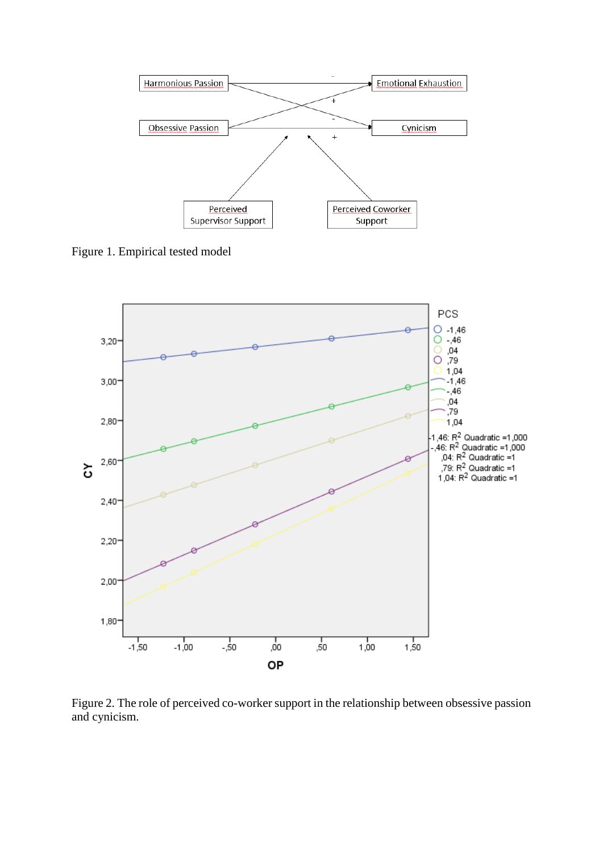

Figure 1. Empirical tested model



Figure 2. The role of perceived co-worker support in the relationship between obsessive passion and cynicism.